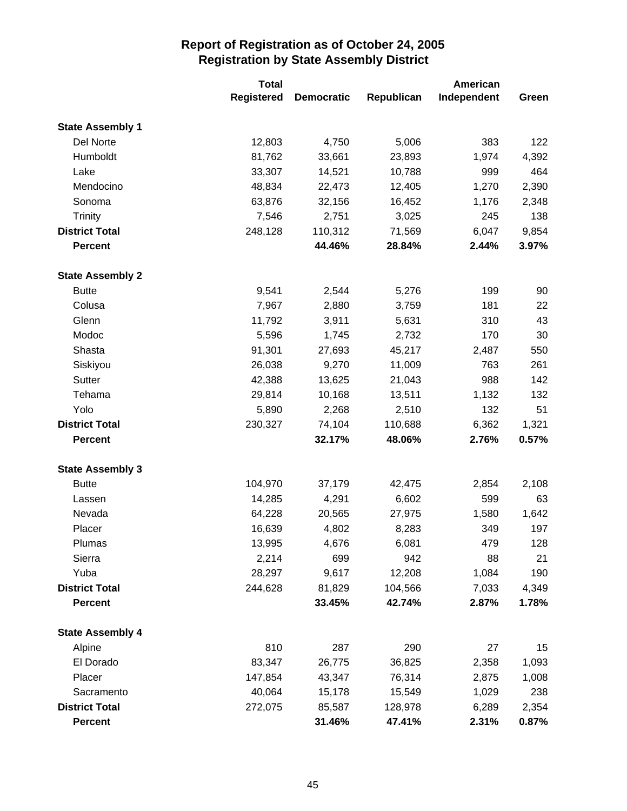|                         | <b>Total</b>      |                   |            | American    |       |
|-------------------------|-------------------|-------------------|------------|-------------|-------|
|                         | <b>Registered</b> | <b>Democratic</b> | Republican | Independent | Green |
| <b>State Assembly 1</b> |                   |                   |            |             |       |
| Del Norte               | 12,803            | 4,750             | 5,006      | 383         | 122   |
| Humboldt                | 81,762            | 33,661            | 23,893     | 1,974       | 4,392 |
| Lake                    | 33,307            | 14,521            | 10,788     | 999         | 464   |
| Mendocino               | 48,834            | 22,473            | 12,405     | 1,270       | 2,390 |
| Sonoma                  | 63,876            | 32,156            | 16,452     | 1,176       | 2,348 |
| <b>Trinity</b>          | 7,546             | 2,751             | 3,025      | 245         | 138   |
| <b>District Total</b>   | 248,128           | 110,312           | 71,569     | 6,047       | 9,854 |
| <b>Percent</b>          |                   | 44.46%            | 28.84%     | 2.44%       | 3.97% |
| <b>State Assembly 2</b> |                   |                   |            |             |       |
| <b>Butte</b>            | 9,541             | 2,544             | 5,276      | 199         | 90    |
| Colusa                  | 7,967             | 2,880             | 3,759      | 181         | 22    |
| Glenn                   | 11,792            | 3,911             | 5,631      | 310         | 43    |
| Modoc                   | 5,596             | 1,745             | 2,732      | 170         | 30    |
| Shasta                  | 91,301            | 27,693            | 45,217     | 2,487       | 550   |
| Siskiyou                | 26,038            | 9,270             | 11,009     | 763         | 261   |
| Sutter                  | 42,388            | 13,625            | 21,043     | 988         | 142   |
| Tehama                  | 29,814            | 10,168            | 13,511     | 1,132       | 132   |
| Yolo                    | 5,890             | 2,268             | 2,510      | 132         | 51    |
| <b>District Total</b>   | 230,327           | 74,104            | 110,688    | 6,362       | 1,321 |
| <b>Percent</b>          |                   | 32.17%            | 48.06%     | 2.76%       | 0.57% |
| <b>State Assembly 3</b> |                   |                   |            |             |       |
| <b>Butte</b>            | 104,970           | 37,179            | 42,475     | 2,854       | 2,108 |
| Lassen                  | 14,285            | 4,291             | 6,602      | 599         | 63    |
| Nevada                  | 64,228            | 20,565            | 27,975     | 1,580       | 1,642 |
| Placer                  | 16,639            | 4,802             | 8,283      | 349         | 197   |
| Plumas                  | 13,995            | 4,676             | 6,081      | 479         | 128   |
| Sierra                  | 2,214             | 699               | 942        | 88          | 21    |
| Yuba                    | 28,297            | 9,617             | 12,208     | 1,084       | 190   |
| <b>District Total</b>   | 244,628           | 81,829            | 104,566    | 7,033       | 4,349 |
| <b>Percent</b>          |                   | 33.45%            | 42.74%     | 2.87%       | 1.78% |
| <b>State Assembly 4</b> |                   |                   |            |             |       |
| Alpine                  | 810               | 287               | 290        | 27          | 15    |
| El Dorado               | 83,347            | 26,775            | 36,825     | 2,358       | 1,093 |
| Placer                  | 147,854           | 43,347            | 76,314     | 2,875       | 1,008 |
| Sacramento              | 40,064            | 15,178            | 15,549     | 1,029       | 238   |
| <b>District Total</b>   | 272,075           | 85,587            | 128,978    | 6,289       | 2,354 |
| <b>Percent</b>          |                   | 31.46%            | 47.41%     | 2.31%       | 0.87% |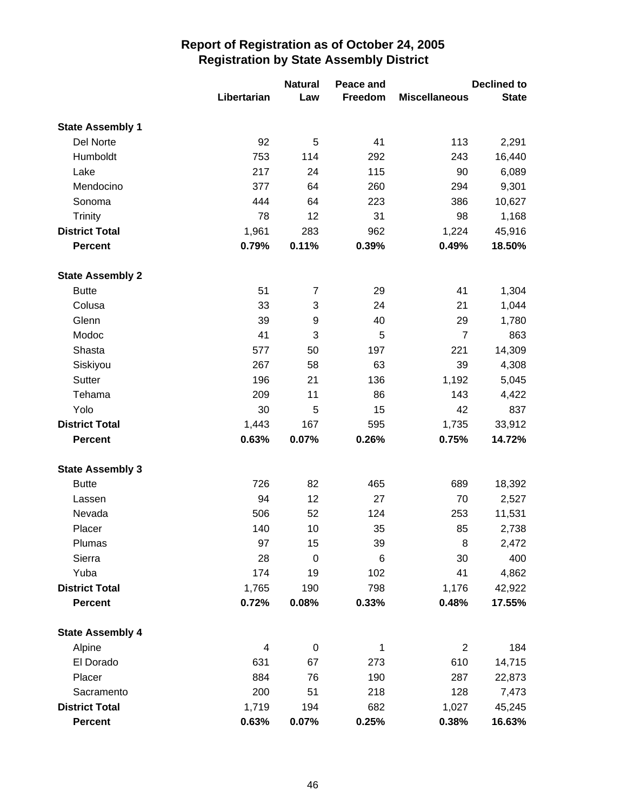|                         |             | <b>Natural</b>   | Peace and |                      | <b>Declined to</b> |
|-------------------------|-------------|------------------|-----------|----------------------|--------------------|
|                         | Libertarian | Law              | Freedom   | <b>Miscellaneous</b> | <b>State</b>       |
| <b>State Assembly 1</b> |             |                  |           |                      |                    |
| Del Norte               | 92          | 5                | 41        | 113                  | 2,291              |
| Humboldt                | 753         | 114              | 292       | 243                  | 16,440             |
| Lake                    | 217         | 24               | 115       | 90                   | 6,089              |
| Mendocino               | 377         | 64               | 260       | 294                  | 9,301              |
| Sonoma                  | 444         | 64               | 223       | 386                  | 10,627             |
| <b>Trinity</b>          | 78          | 12               | 31        | 98                   | 1,168              |
| <b>District Total</b>   | 1,961       | 283              | 962       | 1,224                | 45,916             |
| <b>Percent</b>          | 0.79%       | 0.11%            | 0.39%     | 0.49%                | 18.50%             |
| <b>State Assembly 2</b> |             |                  |           |                      |                    |
| <b>Butte</b>            | 51          | 7                | 29        | 41                   | 1,304              |
| Colusa                  | 33          | 3                | 24        | 21                   | 1,044              |
| Glenn                   | 39          | 9                | 40        | 29                   | 1,780              |
| Modoc                   | 41          | 3                | 5         | $\overline{7}$       | 863                |
| Shasta                  | 577         | 50               | 197       | 221                  | 14,309             |
| Siskiyou                | 267         | 58               | 63        | 39                   | 4,308              |
| Sutter                  | 196         | 21               | 136       | 1,192                | 5,045              |
| Tehama                  | 209         | 11               | 86        | 143                  | 4,422              |
| Yolo                    | 30          | 5                | 15        | 42                   | 837                |
| <b>District Total</b>   | 1,443       | 167              | 595       | 1,735                | 33,912             |
| <b>Percent</b>          | 0.63%       | 0.07%            | 0.26%     | 0.75%                | 14.72%             |
| <b>State Assembly 3</b> |             |                  |           |                      |                    |
| <b>Butte</b>            | 726         | 82               | 465       | 689                  | 18,392             |
| Lassen                  | 94          | 12               | 27        | 70                   | 2,527              |
| Nevada                  | 506         | 52               | 124       | 253                  | 11,531             |
| Placer                  | 140         | 10               | 35        | 85                   | 2,738              |
| Plumas                  | 97          | 15               | 39        | 8                    | 2,472              |
| Sierra                  | 28          | $\boldsymbol{0}$ | 6         | 30                   | 400                |
| Yuba                    | 174         | 19               | 102       | 41                   | 4,862              |
| <b>District Total</b>   | 1,765       | 190              | 798       | 1,176                | 42,922             |
| Percent                 | 0.72%       | 0.08%            | 0.33%     | 0.48%                | 17.55%             |
| <b>State Assembly 4</b> |             |                  |           |                      |                    |
| Alpine                  | 4           | $\pmb{0}$        | 1         | $\overline{2}$       | 184                |
| El Dorado               | 631         | 67               | 273       | 610                  | 14,715             |
| Placer                  | 884         | 76               | 190       | 287                  | 22,873             |
| Sacramento              | 200         | 51               | 218       | 128                  | 7,473              |
| <b>District Total</b>   | 1,719       | 194              | 682       | 1,027                | 45,245             |
| <b>Percent</b>          | 0.63%       | 0.07%            | 0.25%     | 0.38%                | 16.63%             |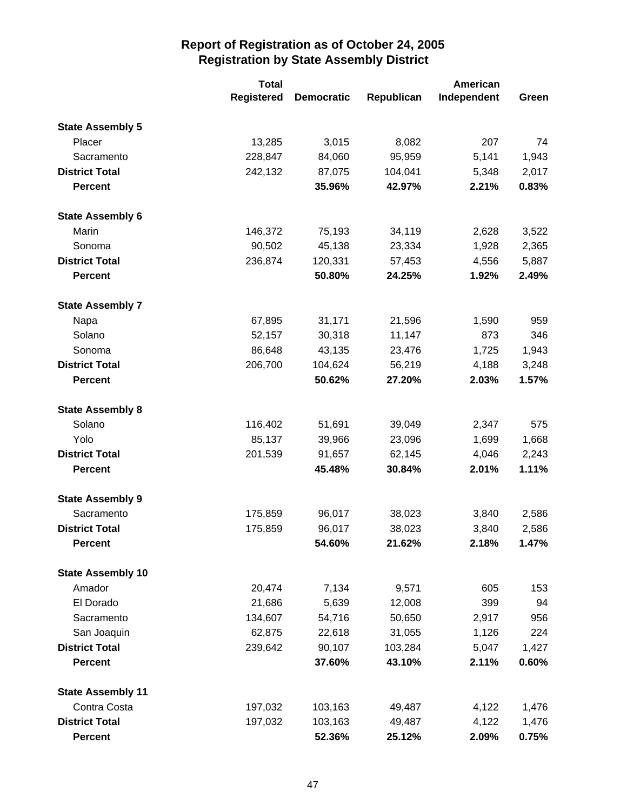|                          | <b>Total</b>      |                   | American   |             |       |
|--------------------------|-------------------|-------------------|------------|-------------|-------|
|                          | <b>Registered</b> | <b>Democratic</b> | Republican | Independent | Green |
| <b>State Assembly 5</b>  |                   |                   |            |             |       |
| Placer                   | 13,285            | 3,015             | 8,082      | 207         | 74    |
| Sacramento               | 228,847           | 84,060            | 95,959     | 5,141       | 1,943 |
| <b>District Total</b>    | 242,132           | 87,075            | 104,041    | 5,348       | 2,017 |
| <b>Percent</b>           |                   | 35.96%            | 42.97%     | 2.21%       | 0.83% |
| <b>State Assembly 6</b>  |                   |                   |            |             |       |
| Marin                    | 146,372           | 75,193            | 34,119     | 2,628       | 3,522 |
| Sonoma                   | 90,502            | 45,138            | 23,334     | 1,928       | 2,365 |
| <b>District Total</b>    | 236,874           | 120,331           | 57,453     | 4,556       | 5,887 |
| <b>Percent</b>           |                   | 50.80%            | 24.25%     | 1.92%       | 2.49% |
| <b>State Assembly 7</b>  |                   |                   |            |             |       |
| Napa                     | 67,895            | 31,171            | 21,596     | 1,590       | 959   |
| Solano                   | 52,157            | 30,318            | 11,147     | 873         | 346   |
| Sonoma                   | 86,648            | 43,135            | 23,476     | 1,725       | 1,943 |
| <b>District Total</b>    | 206,700           | 104,624           | 56,219     | 4,188       | 3,248 |
| <b>Percent</b>           |                   | 50.62%            | 27.20%     | 2.03%       | 1.57% |
| <b>State Assembly 8</b>  |                   |                   |            |             |       |
| Solano                   | 116,402           | 51,691            | 39,049     | 2,347       | 575   |
| Yolo                     | 85,137            | 39,966            | 23,096     | 1,699       | 1,668 |
| <b>District Total</b>    | 201,539           | 91,657            | 62,145     | 4,046       | 2,243 |
| <b>Percent</b>           |                   | 45.48%            | 30.84%     | 2.01%       | 1.11% |
| <b>State Assembly 9</b>  |                   |                   |            |             |       |
| Sacramento               | 175,859           | 96,017            | 38,023     | 3,840       | 2,586 |
| <b>District Total</b>    | 175,859           | 96,017            | 38,023     | 3,840       | 2,586 |
| <b>Percent</b>           |                   | 54.60%            | 21.62%     | 2.18%       | 1.47% |
| <b>State Assembly 10</b> |                   |                   |            |             |       |
| Amador                   | 20,474            | 7,134             | 9,571      | 605         | 153   |
| El Dorado                | 21,686            | 5,639             | 12,008     | 399         | 94    |
| Sacramento               | 134,607           | 54,716            | 50,650     | 2,917       | 956   |
| San Joaquin              | 62,875            | 22,618            | 31,055     | 1,126       | 224   |
| <b>District Total</b>    | 239,642           | 90,107            | 103,284    | 5,047       | 1,427 |
| <b>Percent</b>           |                   | 37.60%            | 43.10%     | 2.11%       | 0.60% |
| <b>State Assembly 11</b> |                   |                   |            |             |       |
| Contra Costa             | 197,032           | 103,163           | 49,487     | 4,122       | 1,476 |
| <b>District Total</b>    | 197,032           | 103,163           | 49,487     | 4,122       | 1,476 |
| <b>Percent</b>           |                   | 52.36%            | 25.12%     | 2.09%       | 0.75% |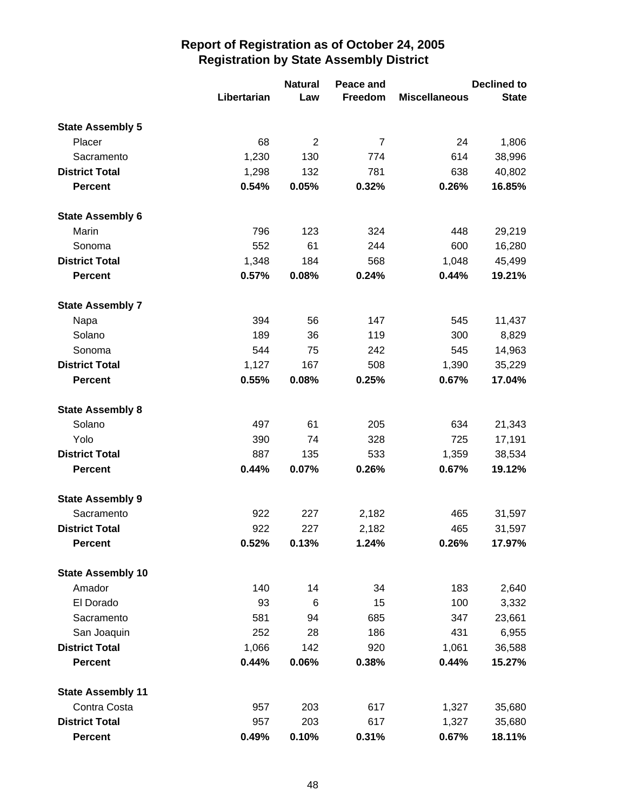|                          |             | <b>Natural</b><br>Peace and | <b>Declined to</b> |                      |              |
|--------------------------|-------------|-----------------------------|--------------------|----------------------|--------------|
|                          | Libertarian | Law                         | Freedom            | <b>Miscellaneous</b> | <b>State</b> |
| <b>State Assembly 5</b>  |             |                             |                    |                      |              |
| Placer                   | 68          | $\overline{2}$              | $\overline{7}$     | 24                   | 1,806        |
| Sacramento               | 1,230       | 130                         | 774                | 614                  | 38,996       |
| <b>District Total</b>    | 1,298       | 132                         | 781                | 638                  | 40,802       |
| <b>Percent</b>           | 0.54%       | 0.05%                       | 0.32%              | 0.26%                | 16.85%       |
| <b>State Assembly 6</b>  |             |                             |                    |                      |              |
| Marin                    | 796         | 123                         | 324                | 448                  | 29,219       |
| Sonoma                   | 552         | 61                          | 244                | 600                  | 16,280       |
| <b>District Total</b>    | 1,348       | 184                         | 568                | 1,048                | 45,499       |
| <b>Percent</b>           | 0.57%       | 0.08%                       | 0.24%              | 0.44%                | 19.21%       |
| <b>State Assembly 7</b>  |             |                             |                    |                      |              |
| Napa                     | 394         | 56                          | 147                | 545                  | 11,437       |
| Solano                   | 189         | 36                          | 119                | 300                  | 8,829        |
| Sonoma                   | 544         | 75                          | 242                | 545                  | 14,963       |
| <b>District Total</b>    | 1,127       | 167                         | 508                | 1,390                | 35,229       |
| <b>Percent</b>           | 0.55%       | 0.08%                       | 0.25%              | 0.67%                | 17.04%       |
| <b>State Assembly 8</b>  |             |                             |                    |                      |              |
| Solano                   | 497         | 61                          | 205                | 634                  | 21,343       |
| Yolo                     | 390         | 74                          | 328                | 725                  | 17,191       |
| <b>District Total</b>    | 887         | 135                         | 533                | 1,359                | 38,534       |
| <b>Percent</b>           | 0.44%       | 0.07%                       | 0.26%              | 0.67%                | 19.12%       |
| <b>State Assembly 9</b>  |             |                             |                    |                      |              |
| Sacramento               | 922         | 227                         | 2,182              | 465                  | 31,597       |
| <b>District Total</b>    | 922         | 227                         | 2,182              | 465                  | 31,597       |
| <b>Percent</b>           | 0.52%       | 0.13%                       | 1.24%              | 0.26%                | 17.97%       |
| <b>State Assembly 10</b> |             |                             |                    |                      |              |
| Amador                   | 140         | 14                          | 34                 | 183                  | 2,640        |
| El Dorado                | 93          | 6                           | 15                 | 100                  | 3,332        |
| Sacramento               | 581         | 94                          | 685                | 347                  | 23,661       |
| San Joaquin              | 252         | 28                          | 186                | 431                  | 6,955        |
| <b>District Total</b>    | 1,066       | 142                         | 920                | 1,061                | 36,588       |
| <b>Percent</b>           | 0.44%       | 0.06%                       | 0.38%              | 0.44%                | 15.27%       |
| <b>State Assembly 11</b> |             |                             |                    |                      |              |
| Contra Costa             | 957         | 203                         | 617                | 1,327                | 35,680       |
| <b>District Total</b>    | 957         | 203                         | 617                | 1,327                | 35,680       |
| <b>Percent</b>           | 0.49%       | 0.10%                       | 0.31%              | 0.67%                | 18.11%       |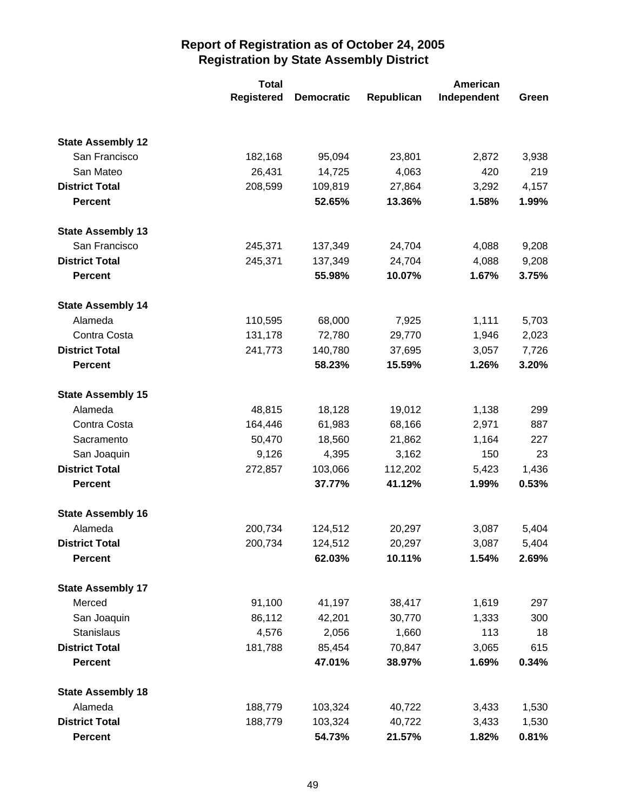|                          | <b>Total</b>      |                   | American   |             |       |
|--------------------------|-------------------|-------------------|------------|-------------|-------|
|                          | <b>Registered</b> | <b>Democratic</b> | Republican | Independent | Green |
|                          |                   |                   |            |             |       |
| <b>State Assembly 12</b> |                   |                   |            |             |       |
| San Francisco            | 182,168           | 95,094            | 23,801     | 2,872       | 3,938 |
| San Mateo                | 26,431            | 14,725            | 4,063      | 420         | 219   |
| <b>District Total</b>    | 208,599           | 109,819           | 27,864     | 3,292       | 4,157 |
| <b>Percent</b>           |                   | 52.65%            | 13.36%     | 1.58%       | 1.99% |
| <b>State Assembly 13</b> |                   |                   |            |             |       |
| San Francisco            | 245,371           | 137,349           | 24,704     | 4,088       | 9,208 |
| <b>District Total</b>    | 245,371           | 137,349           | 24,704     | 4,088       | 9,208 |
| <b>Percent</b>           |                   | 55.98%            | 10.07%     | 1.67%       | 3.75% |
| <b>State Assembly 14</b> |                   |                   |            |             |       |
| Alameda                  | 110,595           | 68,000            | 7,925      | 1,111       | 5,703 |
| Contra Costa             | 131,178           | 72,780            | 29,770     | 1,946       | 2,023 |
| <b>District Total</b>    | 241,773           | 140,780           | 37,695     | 3,057       | 7,726 |
| <b>Percent</b>           |                   | 58.23%            | 15.59%     | 1.26%       | 3.20% |
| <b>State Assembly 15</b> |                   |                   |            |             |       |
| Alameda                  | 48,815            | 18,128            | 19,012     | 1,138       | 299   |
| Contra Costa             | 164,446           | 61,983            | 68,166     | 2,971       | 887   |
| Sacramento               | 50,470            | 18,560            | 21,862     | 1,164       | 227   |
| San Joaquin              | 9,126             | 4,395             | 3,162      | 150         | 23    |
| <b>District Total</b>    | 272,857           | 103,066           | 112,202    | 5,423       | 1,436 |
| <b>Percent</b>           |                   | 37.77%            | 41.12%     | 1.99%       | 0.53% |
| <b>State Assembly 16</b> |                   |                   |            |             |       |
| Alameda                  | 200,734           | 124,512           | 20,297     | 3,087       | 5,404 |
| <b>District Total</b>    | 200,734           | 124,512           | 20,297     | 3,087       | 5,404 |
| <b>Percent</b>           |                   | 62.03%            | 10.11%     | 1.54%       | 2.69% |
| <b>State Assembly 17</b> |                   |                   |            |             |       |
| Merced                   | 91,100            | 41,197            | 38,417     | 1,619       | 297   |
| San Joaquin              | 86,112            | 42,201            | 30,770     | 1,333       | 300   |
| Stanislaus               | 4,576             | 2,056             | 1,660      | 113         | 18    |
| <b>District Total</b>    | 181,788           | 85,454            | 70,847     | 3,065       | 615   |
| <b>Percent</b>           |                   | 47.01%            | 38.97%     | 1.69%       | 0.34% |
| <b>State Assembly 18</b> |                   |                   |            |             |       |
| Alameda                  | 188,779           | 103,324           | 40,722     | 3,433       | 1,530 |
| <b>District Total</b>    | 188,779           | 103,324           | 40,722     | 3,433       | 1,530 |
| <b>Percent</b>           |                   | 54.73%            | 21.57%     | 1.82%       | 0.81% |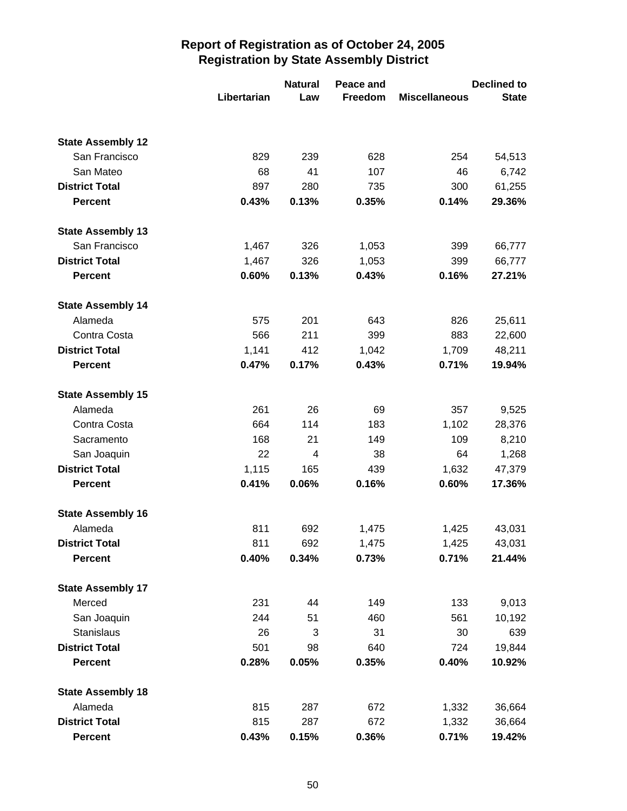|                          | Libertarian | <b>Natural</b><br>Law | Peace and<br>Freedom | <b>Miscellaneous</b> | <b>Declined to</b><br><b>State</b> |
|--------------------------|-------------|-----------------------|----------------------|----------------------|------------------------------------|
|                          |             |                       |                      |                      |                                    |
| <b>State Assembly 12</b> |             |                       |                      |                      |                                    |
| San Francisco            | 829         | 239                   | 628                  | 254                  | 54,513                             |
| San Mateo                | 68          | 41                    | 107                  | 46                   | 6,742                              |
| <b>District Total</b>    | 897         | 280                   | 735                  | 300                  | 61,255                             |
| <b>Percent</b>           | 0.43%       | 0.13%                 | 0.35%                | 0.14%                | 29.36%                             |
| <b>State Assembly 13</b> |             |                       |                      |                      |                                    |
| San Francisco            | 1,467       | 326                   | 1,053                | 399                  | 66,777                             |
| <b>District Total</b>    | 1,467       | 326                   | 1,053                | 399                  | 66,777                             |
| <b>Percent</b>           | 0.60%       | 0.13%                 | 0.43%                | 0.16%                | 27.21%                             |
| <b>State Assembly 14</b> |             |                       |                      |                      |                                    |
| Alameda                  | 575         | 201                   | 643                  | 826                  | 25,611                             |
| Contra Costa             | 566         | 211                   | 399                  | 883                  | 22,600                             |
| <b>District Total</b>    | 1,141       | 412                   | 1,042                | 1,709                | 48,211                             |
| <b>Percent</b>           | 0.47%       | 0.17%                 | 0.43%                | 0.71%                | 19.94%                             |
| <b>State Assembly 15</b> |             |                       |                      |                      |                                    |
| Alameda                  | 261         | 26                    | 69                   | 357                  | 9,525                              |
| Contra Costa             | 664         | 114                   | 183                  | 1,102                | 28,376                             |
| Sacramento               | 168         | 21                    | 149                  | 109                  | 8,210                              |
| San Joaquin              | 22          | 4                     | 38                   | 64                   | 1,268                              |
| <b>District Total</b>    | 1,115       | 165                   | 439                  | 1,632                | 47,379                             |
| <b>Percent</b>           | 0.41%       | 0.06%                 | 0.16%                | 0.60%                | 17.36%                             |
| <b>State Assembly 16</b> |             |                       |                      |                      |                                    |
| Alameda                  | 811         | 692                   | 1,475                | 1,425                | 43,031                             |
| <b>District Total</b>    | 811         | 692                   | 1,475                | 1,425                | 43,031                             |
| <b>Percent</b>           | 0.40%       | 0.34%                 | 0.73%                | 0.71%                | 21.44%                             |
| <b>State Assembly 17</b> |             |                       |                      |                      |                                    |
| Merced                   | 231         | 44                    | 149                  | 133                  | 9,013                              |
| San Joaquin              | 244         | 51                    | 460                  | 561                  | 10,192                             |
| Stanislaus               | 26          | 3                     | 31                   | 30                   | 639                                |
| <b>District Total</b>    | 501         | 98                    | 640                  | 724                  | 19,844                             |
| <b>Percent</b>           | 0.28%       | 0.05%                 | 0.35%                | 0.40%                | 10.92%                             |
| <b>State Assembly 18</b> |             |                       |                      |                      |                                    |
| Alameda                  | 815         | 287                   | 672                  | 1,332                | 36,664                             |
| <b>District Total</b>    | 815         | 287                   | 672                  | 1,332                | 36,664                             |
| <b>Percent</b>           | 0.43%       | 0.15%                 | 0.36%                | 0.71%                | 19.42%                             |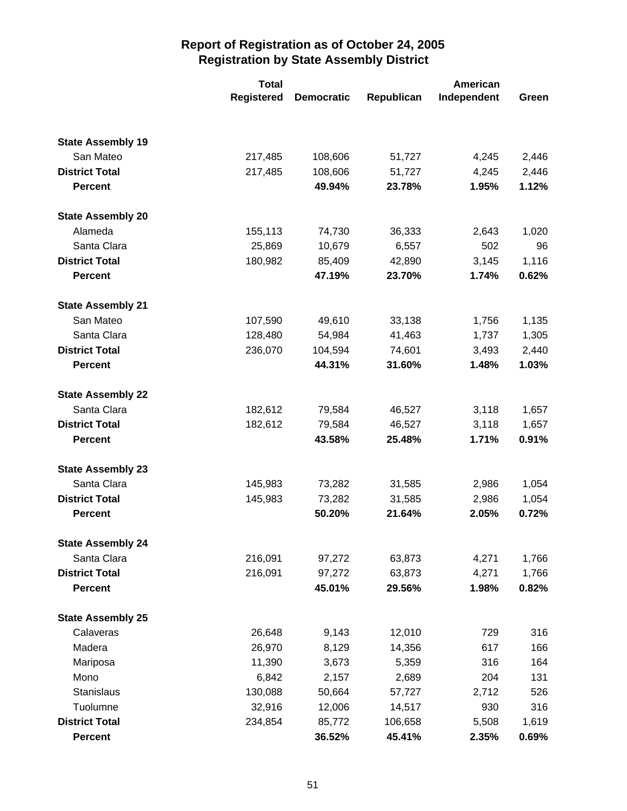|                          | <b>Total</b>      |                   | American   |             |       |  |
|--------------------------|-------------------|-------------------|------------|-------------|-------|--|
|                          | <b>Registered</b> | <b>Democratic</b> | Republican | Independent | Green |  |
|                          |                   |                   |            |             |       |  |
| <b>State Assembly 19</b> |                   |                   |            |             |       |  |
| San Mateo                | 217,485           | 108,606           | 51,727     | 4,245       | 2,446 |  |
| <b>District Total</b>    | 217,485           | 108,606           | 51,727     | 4,245       | 2,446 |  |
| <b>Percent</b>           |                   | 49.94%            | 23.78%     | 1.95%       | 1.12% |  |
| <b>State Assembly 20</b> |                   |                   |            |             |       |  |
| Alameda                  | 155,113           | 74,730            | 36,333     | 2,643       | 1,020 |  |
| Santa Clara              | 25,869            | 10,679            | 6,557      | 502         | 96    |  |
| <b>District Total</b>    | 180,982           | 85,409            | 42,890     | 3,145       | 1,116 |  |
| <b>Percent</b>           |                   | 47.19%            | 23.70%     | 1.74%       | 0.62% |  |
| <b>State Assembly 21</b> |                   |                   |            |             |       |  |
| San Mateo                | 107,590           | 49,610            | 33,138     | 1,756       | 1,135 |  |
| Santa Clara              | 128,480           | 54,984            | 41,463     | 1,737       | 1,305 |  |
| <b>District Total</b>    | 236,070           | 104,594           | 74,601     | 3,493       | 2,440 |  |
| <b>Percent</b>           |                   | 44.31%            | 31.60%     | 1.48%       | 1.03% |  |
| <b>State Assembly 22</b> |                   |                   |            |             |       |  |
| Santa Clara              | 182,612           | 79,584            | 46,527     | 3,118       | 1,657 |  |
| <b>District Total</b>    | 182,612           | 79,584            | 46,527     | 3,118       | 1,657 |  |
| <b>Percent</b>           |                   | 43.58%            | 25.48%     | 1.71%       | 0.91% |  |
| <b>State Assembly 23</b> |                   |                   |            |             |       |  |
| Santa Clara              | 145,983           | 73,282            | 31,585     | 2,986       | 1,054 |  |
| <b>District Total</b>    | 145,983           | 73,282            | 31,585     | 2,986       | 1,054 |  |
| <b>Percent</b>           |                   | 50.20%            | 21.64%     | 2.05%       | 0.72% |  |
| <b>State Assembly 24</b> |                   |                   |            |             |       |  |
| Santa Clara              | 216,091           | 97,272            | 63,873     | 4,271       | 1,766 |  |
| <b>District Total</b>    | 216,091           | 97,272            | 63,873     | 4,271       | 1,766 |  |
| <b>Percent</b>           |                   | 45.01%            | 29.56%     | 1.98%       | 0.82% |  |
| <b>State Assembly 25</b> |                   |                   |            |             |       |  |
| Calaveras                | 26,648            | 9,143             | 12,010     | 729         | 316   |  |
| Madera                   | 26,970            | 8,129             | 14,356     | 617         | 166   |  |
| Mariposa                 | 11,390            | 3,673             | 5,359      | 316         | 164   |  |
| Mono                     | 6,842             | 2,157             | 2,689      | 204         | 131   |  |
| Stanislaus               | 130,088           | 50,664            | 57,727     | 2,712       | 526   |  |
| Tuolumne                 | 32,916            | 12,006            | 14,517     | 930         | 316   |  |
| <b>District Total</b>    | 234,854           | 85,772            | 106,658    | 5,508       | 1,619 |  |
| <b>Percent</b>           |                   | 36.52%            | 45.41%     | 2.35%       | 0.69% |  |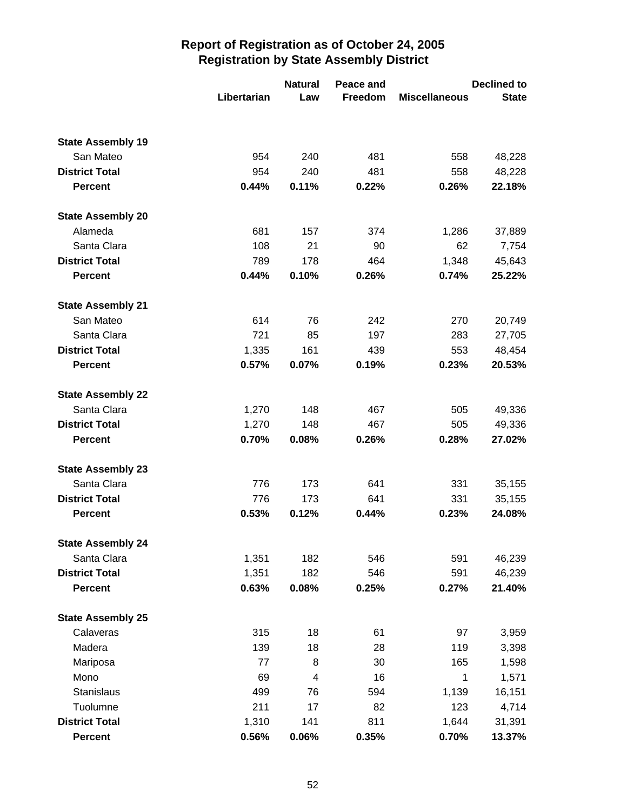|                          | Libertarian | <b>Natural</b><br>Law | Peace and<br>Freedom | <b>Miscellaneous</b> | <b>Declined to</b><br><b>State</b> |
|--------------------------|-------------|-----------------------|----------------------|----------------------|------------------------------------|
|                          |             |                       |                      |                      |                                    |
| <b>State Assembly 19</b> |             |                       |                      |                      |                                    |
| San Mateo                | 954         | 240                   | 481                  | 558                  | 48,228                             |
| <b>District Total</b>    | 954         | 240                   | 481                  | 558                  | 48,228                             |
| <b>Percent</b>           | 0.44%       | 0.11%                 | 0.22%                | 0.26%                | 22.18%                             |
| <b>State Assembly 20</b> |             |                       |                      |                      |                                    |
| Alameda                  | 681         | 157                   | 374                  | 1,286                | 37,889                             |
| Santa Clara              | 108         | 21                    | 90                   | 62                   | 7,754                              |
| <b>District Total</b>    | 789         | 178                   | 464                  | 1,348                | 45,643                             |
| <b>Percent</b>           | 0.44%       | 0.10%                 | 0.26%                | 0.74%                | 25.22%                             |
| <b>State Assembly 21</b> |             |                       |                      |                      |                                    |
| San Mateo                | 614         | 76                    | 242                  | 270                  | 20,749                             |
| Santa Clara              | 721         | 85                    | 197                  | 283                  | 27,705                             |
| <b>District Total</b>    | 1,335       | 161                   | 439                  | 553                  | 48,454                             |
| <b>Percent</b>           | 0.57%       | 0.07%                 | 0.19%                | 0.23%                | 20.53%                             |
| <b>State Assembly 22</b> |             |                       |                      |                      |                                    |
| Santa Clara              | 1,270       | 148                   | 467                  | 505                  | 49,336                             |
| <b>District Total</b>    | 1,270       | 148                   | 467                  | 505                  | 49,336                             |
| <b>Percent</b>           | 0.70%       | 0.08%                 | 0.26%                | 0.28%                | 27.02%                             |
| <b>State Assembly 23</b> |             |                       |                      |                      |                                    |
| Santa Clara              | 776         | 173                   | 641                  | 331                  | 35,155                             |
| <b>District Total</b>    | 776         | 173                   | 641                  | 331                  | 35,155                             |
| <b>Percent</b>           | 0.53%       | 0.12%                 | 0.44%                | 0.23%                | 24.08%                             |
| <b>State Assembly 24</b> |             |                       |                      |                      |                                    |
| Santa Clara              | 1,351       | 182                   | 546                  | 591                  | 46,239                             |
| <b>District Total</b>    | 1,351       | 182                   | 546                  | 591                  | 46,239                             |
| <b>Percent</b>           | 0.63%       | 0.08%                 | 0.25%                | 0.27%                | 21.40%                             |
| <b>State Assembly 25</b> |             |                       |                      |                      |                                    |
| Calaveras                | 315         | 18                    | 61                   | 97                   | 3,959                              |
| Madera                   | 139         | 18                    | 28                   | 119                  | 3,398                              |
| Mariposa                 | 77          | 8                     | 30                   | 165                  | 1,598                              |
| Mono                     | 69          | 4                     | 16                   | 1                    | 1,571                              |
| Stanislaus               | 499         | 76                    | 594                  | 1,139                | 16,151                             |
| Tuolumne                 | 211         | 17                    | 82                   | 123                  | 4,714                              |
| <b>District Total</b>    | 1,310       | 141                   | 811                  | 1,644                | 31,391                             |
| <b>Percent</b>           | 0.56%       | 0.06%                 | 0.35%                | 0.70%                | 13.37%                             |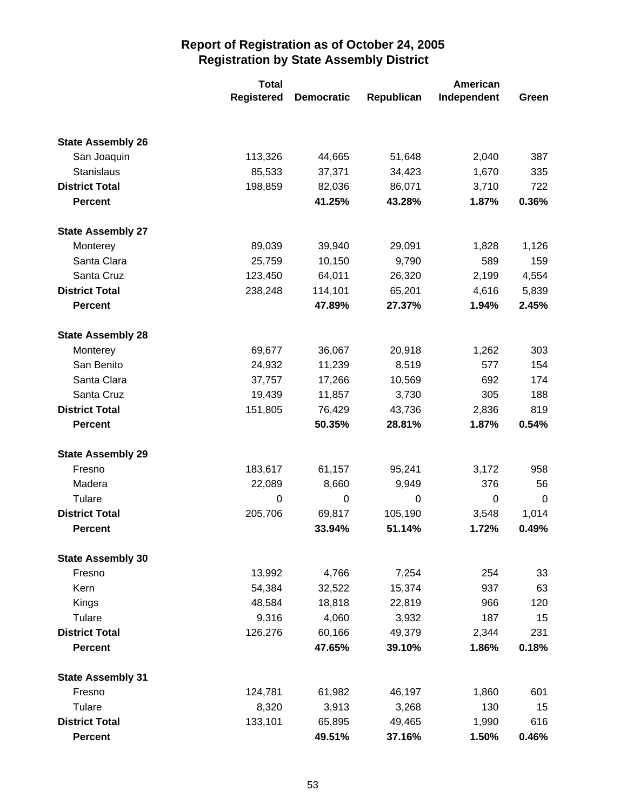|                          | <b>Total</b>      |                   | American   |             |       |
|--------------------------|-------------------|-------------------|------------|-------------|-------|
|                          | <b>Registered</b> | <b>Democratic</b> | Republican | Independent | Green |
|                          |                   |                   |            |             |       |
| <b>State Assembly 26</b> |                   |                   |            |             |       |
| San Joaquin              | 113,326           | 44,665            | 51,648     | 2,040       | 387   |
| Stanislaus               | 85,533            | 37,371            | 34,423     | 1,670       | 335   |
| <b>District Total</b>    | 198,859           | 82,036            | 86,071     | 3,710       | 722   |
| <b>Percent</b>           |                   | 41.25%            | 43.28%     | 1.87%       | 0.36% |
| <b>State Assembly 27</b> |                   |                   |            |             |       |
| Monterey                 | 89,039            | 39,940            | 29,091     | 1,828       | 1,126 |
| Santa Clara              | 25,759            | 10,150            | 9,790      | 589         | 159   |
| Santa Cruz               | 123,450           | 64,011            | 26,320     | 2,199       | 4,554 |
| <b>District Total</b>    | 238,248           | 114,101           | 65,201     | 4,616       | 5,839 |
| <b>Percent</b>           |                   | 47.89%            | 27.37%     | 1.94%       | 2.45% |
| <b>State Assembly 28</b> |                   |                   |            |             |       |
| Monterey                 | 69,677            | 36,067            | 20,918     | 1,262       | 303   |
| San Benito               | 24,932            | 11,239            | 8,519      | 577         | 154   |
| Santa Clara              | 37,757            | 17,266            | 10,569     | 692         | 174   |
| Santa Cruz               | 19,439            | 11,857            | 3,730      | 305         | 188   |
| <b>District Total</b>    | 151,805           | 76,429            | 43,736     | 2,836       | 819   |
| <b>Percent</b>           |                   | 50.35%            | 28.81%     | 1.87%       | 0.54% |
| <b>State Assembly 29</b> |                   |                   |            |             |       |
| Fresno                   | 183,617           | 61,157            | 95,241     | 3,172       | 958   |
| Madera                   | 22,089            | 8,660             | 9,949      | 376         | 56    |
| Tulare                   | 0                 | $\mathbf 0$       | 0          | 0           | 0     |
| <b>District Total</b>    | 205,706           | 69,817            | 105,190    | 3,548       | 1,014 |
| <b>Percent</b>           |                   | 33.94%            | 51.14%     | 1.72%       | 0.49% |
| <b>State Assembly 30</b> |                   |                   |            |             |       |
| Fresno                   | 13,992            | 4,766             | 7,254      | 254         | 33    |
| Kern                     | 54,384            | 32,522            | 15,374     | 937         | 63    |
| Kings                    | 48,584            | 18,818            | 22,819     | 966         | 120   |
| Tulare                   | 9,316             | 4,060             | 3,932      | 187         | 15    |
| <b>District Total</b>    | 126,276           | 60,166            | 49,379     | 2,344       | 231   |
| <b>Percent</b>           |                   | 47.65%            | 39.10%     | 1.86%       | 0.18% |
| <b>State Assembly 31</b> |                   |                   |            |             |       |
| Fresno                   | 124,781           | 61,982            | 46,197     | 1,860       | 601   |
| Tulare                   | 8,320             | 3,913             | 3,268      | 130         | 15    |
| <b>District Total</b>    | 133,101           | 65,895            | 49,465     | 1,990       | 616   |
| <b>Percent</b>           |                   | 49.51%            | 37.16%     | 1.50%       | 0.46% |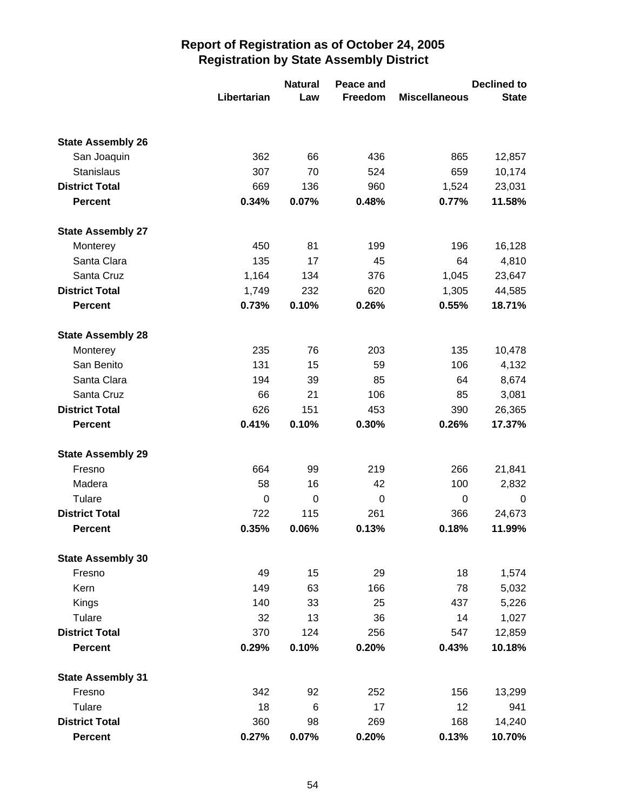|                          | Libertarian | <b>Natural</b><br>Law | Peace and<br>Freedom | <b>Miscellaneous</b> | <b>Declined to</b><br><b>State</b> |
|--------------------------|-------------|-----------------------|----------------------|----------------------|------------------------------------|
|                          |             |                       |                      |                      |                                    |
| <b>State Assembly 26</b> |             |                       |                      |                      |                                    |
| San Joaquin              | 362         | 66                    | 436                  | 865                  | 12,857                             |
| Stanislaus               | 307         | 70                    | 524                  | 659                  | 10,174                             |
| <b>District Total</b>    | 669         | 136                   | 960                  | 1,524                | 23,031                             |
| <b>Percent</b>           | 0.34%       | 0.07%                 | 0.48%                | 0.77%                | 11.58%                             |
| <b>State Assembly 27</b> |             |                       |                      |                      |                                    |
| Monterey                 | 450         | 81                    | 199                  | 196                  | 16,128                             |
| Santa Clara              | 135         | 17                    | 45                   | 64                   | 4,810                              |
| Santa Cruz               | 1,164       | 134                   | 376                  | 1,045                | 23,647                             |
| <b>District Total</b>    | 1,749       | 232                   | 620                  | 1,305                | 44,585                             |
| <b>Percent</b>           | 0.73%       | 0.10%                 | 0.26%                | 0.55%                | 18.71%                             |
| <b>State Assembly 28</b> |             |                       |                      |                      |                                    |
| Monterey                 | 235         | 76                    | 203                  | 135                  | 10,478                             |
| San Benito               | 131         | 15                    | 59                   | 106                  | 4,132                              |
| Santa Clara              | 194         | 39                    | 85                   | 64                   | 8,674                              |
| Santa Cruz               | 66          | 21                    | 106                  | 85                   | 3,081                              |
| <b>District Total</b>    | 626         | 151                   | 453                  | 390                  | 26,365                             |
| <b>Percent</b>           | 0.41%       | 0.10%                 | 0.30%                | 0.26%                | 17.37%                             |
| <b>State Assembly 29</b> |             |                       |                      |                      |                                    |
| Fresno                   | 664         | 99                    | 219                  | 266                  | 21,841                             |
| Madera                   | 58          | 16                    | 42                   | 100                  | 2,832                              |
| Tulare                   | 0           | $\mathbf 0$           | 0                    | 0                    | 0                                  |
| <b>District Total</b>    | 722         | 115                   | 261                  | 366                  | 24,673                             |
| <b>Percent</b>           | 0.35%       | 0.06%                 | 0.13%                | 0.18%                | 11.99%                             |
| <b>State Assembly 30</b> |             |                       |                      |                      |                                    |
| Fresno                   | 49          | 15                    | 29                   | 18                   | 1,574                              |
| Kern                     | 149         | 63                    | 166                  | 78                   | 5,032                              |
| Kings                    | 140         | 33                    | 25                   | 437                  | 5,226                              |
| Tulare                   | 32          | 13                    | 36                   | 14                   | 1,027                              |
| <b>District Total</b>    | 370         | 124                   | 256                  | 547                  | 12,859                             |
| <b>Percent</b>           | 0.29%       | 0.10%                 | 0.20%                | 0.43%                | 10.18%                             |
| <b>State Assembly 31</b> |             |                       |                      |                      |                                    |
| Fresno                   | 342         | 92                    | 252                  | 156                  | 13,299                             |
| Tulare                   | 18          | 6                     | 17                   | 12                   | 941                                |
| <b>District Total</b>    | 360         | 98                    | 269                  | 168                  | 14,240                             |
| <b>Percent</b>           | 0.27%       | 0.07%                 | 0.20%                | 0.13%                | 10.70%                             |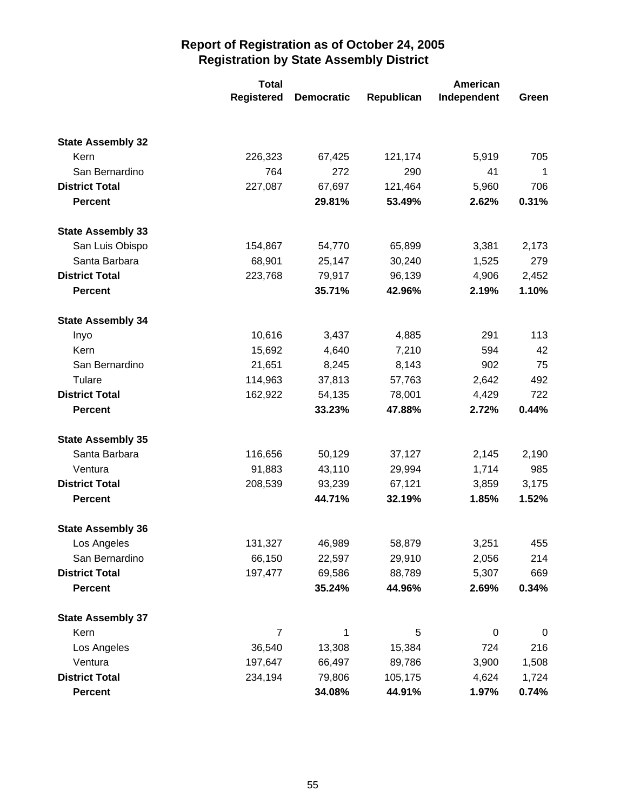|                          | <b>Total</b>      | American          |            |             |       |
|--------------------------|-------------------|-------------------|------------|-------------|-------|
|                          | <b>Registered</b> | <b>Democratic</b> | Republican | Independent | Green |
|                          |                   |                   |            |             |       |
| <b>State Assembly 32</b> |                   |                   |            |             |       |
| Kern                     | 226,323           | 67,425            | 121,174    | 5,919       | 705   |
| San Bernardino           | 764               | 272               | 290        | 41          | 1     |
| <b>District Total</b>    | 227,087           | 67,697            | 121,464    | 5,960       | 706   |
| <b>Percent</b>           |                   | 29.81%            | 53.49%     | 2.62%       | 0.31% |
| <b>State Assembly 33</b> |                   |                   |            |             |       |
| San Luis Obispo          | 154,867           | 54,770            | 65,899     | 3,381       | 2,173 |
| Santa Barbara            | 68,901            | 25,147            | 30,240     | 1,525       | 279   |
| <b>District Total</b>    | 223,768           | 79,917            | 96,139     | 4,906       | 2,452 |
| <b>Percent</b>           |                   | 35.71%            | 42.96%     | 2.19%       | 1.10% |
| <b>State Assembly 34</b> |                   |                   |            |             |       |
| Inyo                     | 10,616            | 3,437             | 4,885      | 291         | 113   |
| Kern                     | 15,692            | 4,640             | 7,210      | 594         | 42    |
| San Bernardino           | 21,651            | 8,245             | 8,143      | 902         | 75    |
| Tulare                   | 114,963           | 37,813            | 57,763     | 2,642       | 492   |
| <b>District Total</b>    | 162,922           | 54,135            | 78,001     | 4,429       | 722   |
| <b>Percent</b>           |                   | 33.23%            | 47.88%     | 2.72%       | 0.44% |
| <b>State Assembly 35</b> |                   |                   |            |             |       |
| Santa Barbara            | 116,656           | 50,129            | 37,127     | 2,145       | 2,190 |
| Ventura                  | 91,883            | 43,110            | 29,994     | 1,714       | 985   |
| <b>District Total</b>    | 208,539           | 93,239            | 67,121     | 3,859       | 3,175 |
| <b>Percent</b>           |                   | 44.71%            | 32.19%     | 1.85%       | 1.52% |
| <b>State Assembly 36</b> |                   |                   |            |             |       |
| Los Angeles              | 131,327           | 46,989            | 58,879     | 3,251       | 455   |
| San Bernardino           | 66,150            | 22,597            | 29,910     | 2,056       | 214   |
| <b>District Total</b>    | 197,477           | 69,586            | 88,789     | 5,307       | 669   |
| <b>Percent</b>           |                   | 35.24%            | 44.96%     | 2.69%       | 0.34% |
| <b>State Assembly 37</b> |                   |                   |            |             |       |
| Kern                     | 7                 | 1                 | 5          | $\mathbf 0$ | 0     |
| Los Angeles              | 36,540            | 13,308            | 15,384     | 724         | 216   |
| Ventura                  | 197,647           | 66,497            | 89,786     | 3,900       | 1,508 |
| <b>District Total</b>    | 234,194           | 79,806            | 105,175    | 4,624       | 1,724 |
| <b>Percent</b>           |                   | 34.08%            | 44.91%     | 1.97%       | 0.74% |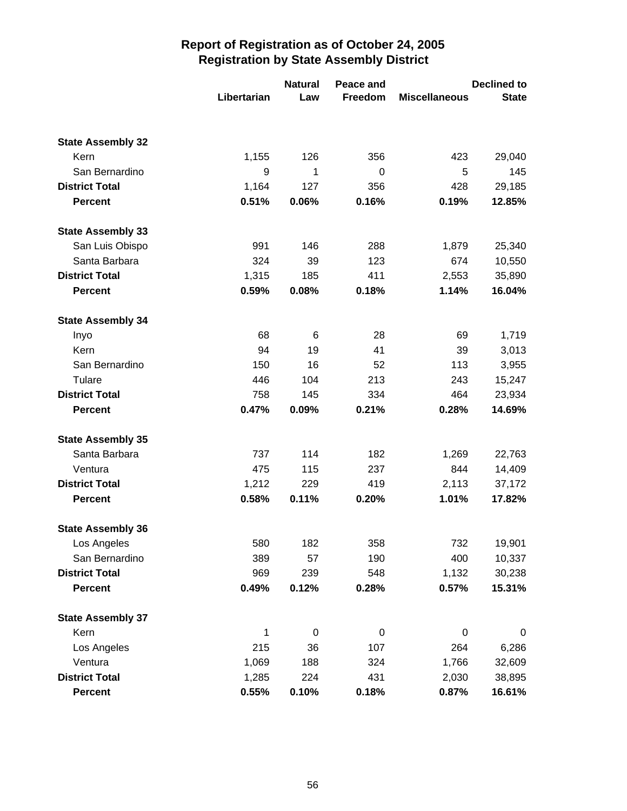|                          | Libertarian | <b>Natural</b><br>Law | Peace and<br>Freedom | <b>Miscellaneous</b> | <b>Declined to</b><br><b>State</b> |
|--------------------------|-------------|-----------------------|----------------------|----------------------|------------------------------------|
|                          |             |                       |                      |                      |                                    |
| <b>State Assembly 32</b> |             |                       |                      |                      |                                    |
| Kern                     | 1,155       | 126                   | 356                  | 423                  | 29,040                             |
| San Bernardino           | 9           | 1                     | 0                    | 5                    | 145                                |
| <b>District Total</b>    | 1,164       | 127                   | 356                  | 428                  | 29,185                             |
| <b>Percent</b>           | 0.51%       | 0.06%                 | 0.16%                | 0.19%                | 12.85%                             |
| <b>State Assembly 33</b> |             |                       |                      |                      |                                    |
| San Luis Obispo          | 991         | 146                   | 288                  | 1,879                | 25,340                             |
| Santa Barbara            | 324         | 39                    | 123                  | 674                  | 10,550                             |
| <b>District Total</b>    | 1,315       | 185                   | 411                  | 2,553                | 35,890                             |
| <b>Percent</b>           | 0.59%       | 0.08%                 | 0.18%                | 1.14%                | 16.04%                             |
| <b>State Assembly 34</b> |             |                       |                      |                      |                                    |
| Inyo                     | 68          | 6                     | 28                   | 69                   | 1,719                              |
| Kern                     | 94          | 19                    | 41                   | 39                   | 3,013                              |
| San Bernardino           | 150         | 16                    | 52                   | 113                  | 3,955                              |
| Tulare                   | 446         | 104                   | 213                  | 243                  | 15,247                             |
| <b>District Total</b>    | 758         | 145                   | 334                  | 464                  | 23,934                             |
| <b>Percent</b>           | 0.47%       | 0.09%                 | 0.21%                | 0.28%                | 14.69%                             |
| <b>State Assembly 35</b> |             |                       |                      |                      |                                    |
| Santa Barbara            | 737         | 114                   | 182                  | 1,269                | 22,763                             |
| Ventura                  | 475         | 115                   | 237                  | 844                  | 14,409                             |
| <b>District Total</b>    | 1,212       | 229                   | 419                  | 2,113                | 37,172                             |
| <b>Percent</b>           | 0.58%       | 0.11%                 | 0.20%                | 1.01%                | 17.82%                             |
| <b>State Assembly 36</b> |             |                       |                      |                      |                                    |
| Los Angeles              | 580         | 182                   | 358                  | 732                  | 19,901                             |
| San Bernardino           | 389         | 57                    | 190                  | 400                  | 10,337                             |
| <b>District Total</b>    | 969         | 239                   | 548                  | 1,132                | 30,238                             |
| <b>Percent</b>           | 0.49%       | 0.12%                 | 0.28%                | 0.57%                | 15.31%                             |
| <b>State Assembly 37</b> |             |                       |                      |                      |                                    |
| Kern                     | 1           | $\pmb{0}$             | $\,0\,$              | $\pmb{0}$            | 0                                  |
| Los Angeles              | 215         | 36                    | 107                  | 264                  | 6,286                              |
| Ventura                  | 1,069       | 188                   | 324                  | 1,766                | 32,609                             |
| <b>District Total</b>    | 1,285       | 224                   | 431                  | 2,030                | 38,895                             |
| <b>Percent</b>           | 0.55%       | 0.10%                 | 0.18%                | 0.87%                | 16.61%                             |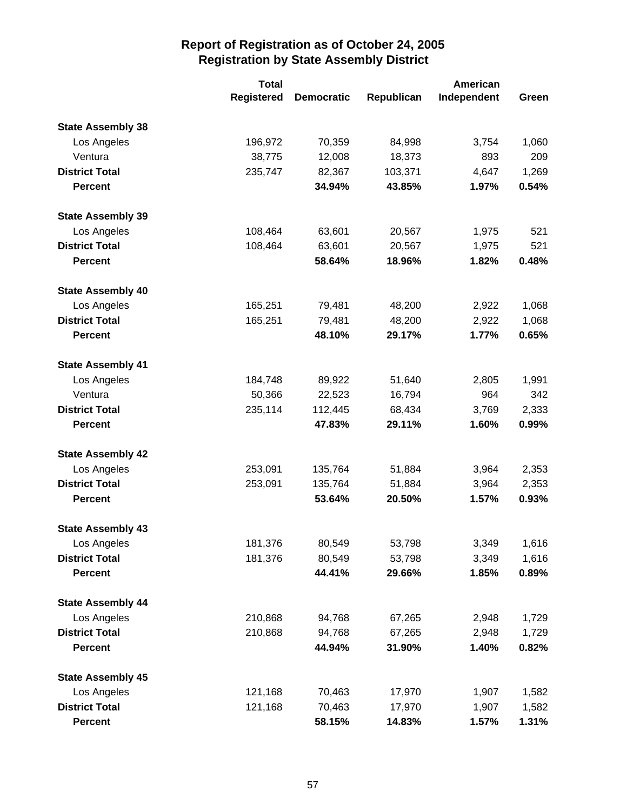|                          | <b>Total</b>      |                   | American   |             |       |
|--------------------------|-------------------|-------------------|------------|-------------|-------|
|                          | <b>Registered</b> | <b>Democratic</b> | Republican | Independent | Green |
| <b>State Assembly 38</b> |                   |                   |            |             |       |
| Los Angeles              | 196,972           | 70,359            | 84,998     | 3,754       | 1,060 |
| Ventura                  | 38,775            | 12,008            | 18,373     | 893         | 209   |
| <b>District Total</b>    | 235,747           | 82,367            | 103,371    | 4,647       | 1,269 |
| <b>Percent</b>           |                   | 34.94%            | 43.85%     | 1.97%       | 0.54% |
| <b>State Assembly 39</b> |                   |                   |            |             |       |
| Los Angeles              | 108,464           | 63,601            | 20,567     | 1,975       | 521   |
| <b>District Total</b>    | 108,464           | 63,601            | 20,567     | 1,975       | 521   |
| <b>Percent</b>           |                   | 58.64%            | 18.96%     | 1.82%       | 0.48% |
| <b>State Assembly 40</b> |                   |                   |            |             |       |
| Los Angeles              | 165,251           | 79,481            | 48,200     | 2,922       | 1,068 |
| <b>District Total</b>    | 165,251           | 79,481            | 48,200     | 2,922       | 1,068 |
| <b>Percent</b>           |                   | 48.10%            | 29.17%     | 1.77%       | 0.65% |
| <b>State Assembly 41</b> |                   |                   |            |             |       |
| Los Angeles              | 184,748           | 89,922            | 51,640     | 2,805       | 1,991 |
| Ventura                  | 50,366            | 22,523            | 16,794     | 964         | 342   |
| <b>District Total</b>    | 235,114           | 112,445           | 68,434     | 3,769       | 2,333 |
| <b>Percent</b>           |                   | 47.83%            | 29.11%     | 1.60%       | 0.99% |
| <b>State Assembly 42</b> |                   |                   |            |             |       |
| Los Angeles              | 253,091           | 135,764           | 51,884     | 3,964       | 2,353 |
| <b>District Total</b>    | 253,091           | 135,764           | 51,884     | 3,964       | 2,353 |
| <b>Percent</b>           |                   | 53.64%            | 20.50%     | 1.57%       | 0.93% |
| <b>State Assembly 43</b> |                   |                   |            |             |       |
| Los Angeles              | 181,376           | 80,549            | 53,798     | 3,349       | 1,616 |
| <b>District Total</b>    | 181,376           | 80,549            | 53,798     | 3,349       | 1,616 |
| <b>Percent</b>           |                   | 44.41%            | 29.66%     | 1.85%       | 0.89% |
| <b>State Assembly 44</b> |                   |                   |            |             |       |
| Los Angeles              | 210,868           | 94,768            | 67,265     | 2,948       | 1,729 |
| <b>District Total</b>    | 210,868           | 94,768            | 67,265     | 2,948       | 1,729 |
| <b>Percent</b>           |                   | 44.94%            | 31.90%     | 1.40%       | 0.82% |
| <b>State Assembly 45</b> |                   |                   |            |             |       |
| Los Angeles              | 121,168           | 70,463            | 17,970     | 1,907       | 1,582 |
| <b>District Total</b>    | 121,168           | 70,463            | 17,970     | 1,907       | 1,582 |
| <b>Percent</b>           |                   | 58.15%            | 14.83%     | 1.57%       | 1.31% |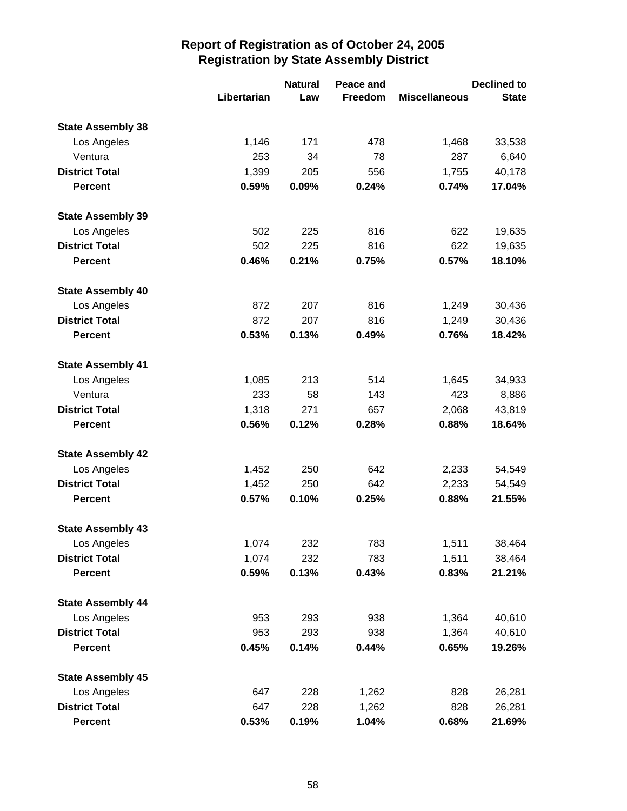|                          |             | <b>Natural</b> | Peace and |                      | <b>Declined to</b> |
|--------------------------|-------------|----------------|-----------|----------------------|--------------------|
|                          | Libertarian | Law            | Freedom   | <b>Miscellaneous</b> | <b>State</b>       |
| <b>State Assembly 38</b> |             |                |           |                      |                    |
| Los Angeles              | 1,146       | 171            | 478       | 1,468                | 33,538             |
| Ventura                  | 253         | 34             | 78        | 287                  | 6,640              |
| <b>District Total</b>    | 1,399       | 205            | 556       | 1,755                | 40,178             |
| <b>Percent</b>           | 0.59%       | 0.09%          | 0.24%     | 0.74%                | 17.04%             |
| <b>State Assembly 39</b> |             |                |           |                      |                    |
| Los Angeles              | 502         | 225            | 816       | 622                  | 19,635             |
| <b>District Total</b>    | 502         | 225            | 816       | 622                  | 19,635             |
| <b>Percent</b>           | 0.46%       | 0.21%          | 0.75%     | 0.57%                | 18.10%             |
| <b>State Assembly 40</b> |             |                |           |                      |                    |
| Los Angeles              | 872         | 207            | 816       | 1,249                | 30,436             |
| <b>District Total</b>    | 872         | 207            | 816       | 1,249                | 30,436             |
| <b>Percent</b>           | 0.53%       | 0.13%          | 0.49%     | 0.76%                | 18.42%             |
| <b>State Assembly 41</b> |             |                |           |                      |                    |
| Los Angeles              | 1,085       | 213            | 514       | 1,645                | 34,933             |
| Ventura                  | 233         | 58             | 143       | 423                  | 8,886              |
| <b>District Total</b>    | 1,318       | 271            | 657       | 2,068                | 43,819             |
| <b>Percent</b>           | 0.56%       | 0.12%          | 0.28%     | 0.88%                | 18.64%             |
| <b>State Assembly 42</b> |             |                |           |                      |                    |
| Los Angeles              | 1,452       | 250            | 642       | 2,233                | 54,549             |
| <b>District Total</b>    | 1,452       | 250            | 642       | 2,233                | 54,549             |
| <b>Percent</b>           | 0.57%       | 0.10%          | 0.25%     | 0.88%                | 21.55%             |
| <b>State Assembly 43</b> |             |                |           |                      |                    |
| Los Angeles              | 1,074       | 232            | 783       | 1,511                | 38,464             |
| <b>District Total</b>    | 1,074       | 232            | 783       | 1,511                | 38,464             |
| <b>Percent</b>           | 0.59%       | 0.13%          | 0.43%     | 0.83%                | 21.21%             |
| <b>State Assembly 44</b> |             |                |           |                      |                    |
| Los Angeles              | 953         | 293            | 938       | 1,364                | 40,610             |
| <b>District Total</b>    | 953         | 293            | 938       | 1,364                | 40,610             |
| <b>Percent</b>           | 0.45%       | 0.14%          | 0.44%     | 0.65%                | 19.26%             |
| <b>State Assembly 45</b> |             |                |           |                      |                    |
| Los Angeles              | 647         | 228            | 1,262     | 828                  | 26,281             |
| <b>District Total</b>    | 647         | 228            | 1,262     | 828                  | 26,281             |
| <b>Percent</b>           | 0.53%       | 0.19%          | 1.04%     | 0.68%                | 21.69%             |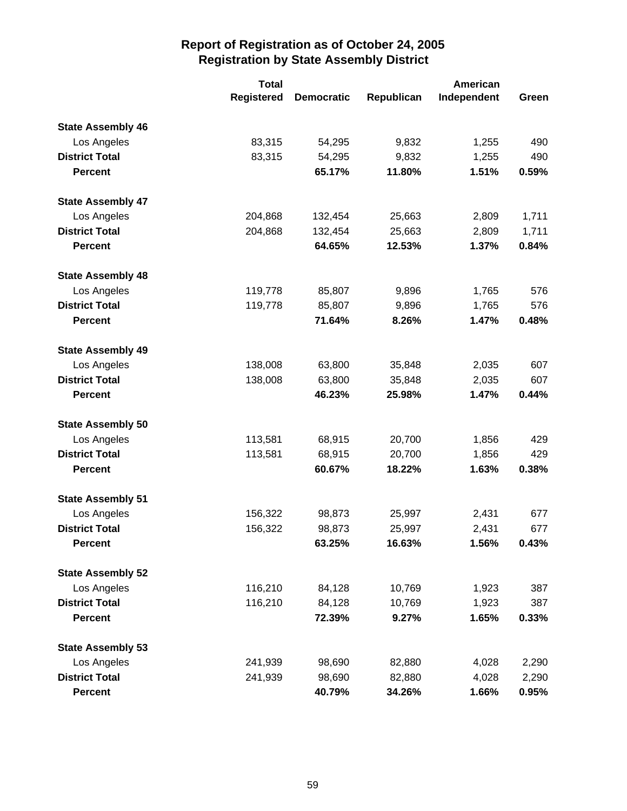|                          | <b>Total</b>      |                   |            | American    |       |
|--------------------------|-------------------|-------------------|------------|-------------|-------|
|                          | <b>Registered</b> | <b>Democratic</b> | Republican | Independent | Green |
| <b>State Assembly 46</b> |                   |                   |            |             |       |
| Los Angeles              | 83,315            | 54,295            | 9,832      | 1,255       | 490   |
| <b>District Total</b>    | 83,315            | 54,295            | 9,832      | 1,255       | 490   |
| <b>Percent</b>           |                   | 65.17%            | 11.80%     | 1.51%       | 0.59% |
| <b>State Assembly 47</b> |                   |                   |            |             |       |
| Los Angeles              | 204,868           | 132,454           | 25,663     | 2,809       | 1,711 |
| <b>District Total</b>    | 204,868           | 132,454           | 25,663     | 2,809       | 1,711 |
| <b>Percent</b>           |                   | 64.65%            | 12.53%     | 1.37%       | 0.84% |
| <b>State Assembly 48</b> |                   |                   |            |             |       |
| Los Angeles              | 119,778           | 85,807            | 9,896      | 1,765       | 576   |
| <b>District Total</b>    | 119,778           | 85,807            | 9,896      | 1,765       | 576   |
| <b>Percent</b>           |                   | 71.64%            | 8.26%      | 1.47%       | 0.48% |
| <b>State Assembly 49</b> |                   |                   |            |             |       |
| Los Angeles              | 138,008           | 63,800            | 35,848     | 2,035       | 607   |
| <b>District Total</b>    | 138,008           | 63,800            | 35,848     | 2,035       | 607   |
| <b>Percent</b>           |                   | 46.23%            | 25.98%     | 1.47%       | 0.44% |
| <b>State Assembly 50</b> |                   |                   |            |             |       |
| Los Angeles              | 113,581           | 68,915            | 20,700     | 1,856       | 429   |
| <b>District Total</b>    | 113,581           | 68,915            | 20,700     | 1,856       | 429   |
| <b>Percent</b>           |                   | 60.67%            | 18.22%     | 1.63%       | 0.38% |
| <b>State Assembly 51</b> |                   |                   |            |             |       |
| Los Angeles              | 156,322           | 98,873            | 25,997     | 2,431       | 677   |
| <b>District Total</b>    | 156,322           | 98,873            | 25,997     | 2,431       | 677   |
| <b>Percent</b>           |                   | 63.25%            | 16.63%     | 1.56%       | 0.43% |
| <b>State Assembly 52</b> |                   |                   |            |             |       |
| Los Angeles              | 116,210           | 84,128            | 10,769     | 1,923       | 387   |
| <b>District Total</b>    | 116,210           | 84,128            | 10,769     | 1,923       | 387   |
| <b>Percent</b>           |                   | 72.39%            | 9.27%      | 1.65%       | 0.33% |
| <b>State Assembly 53</b> |                   |                   |            |             |       |
| Los Angeles              | 241,939           | 98,690            | 82,880     | 4,028       | 2,290 |
| <b>District Total</b>    | 241,939           | 98,690            | 82,880     | 4,028       | 2,290 |
| <b>Percent</b>           |                   | 40.79%            | 34.26%     | 1.66%       | 0.95% |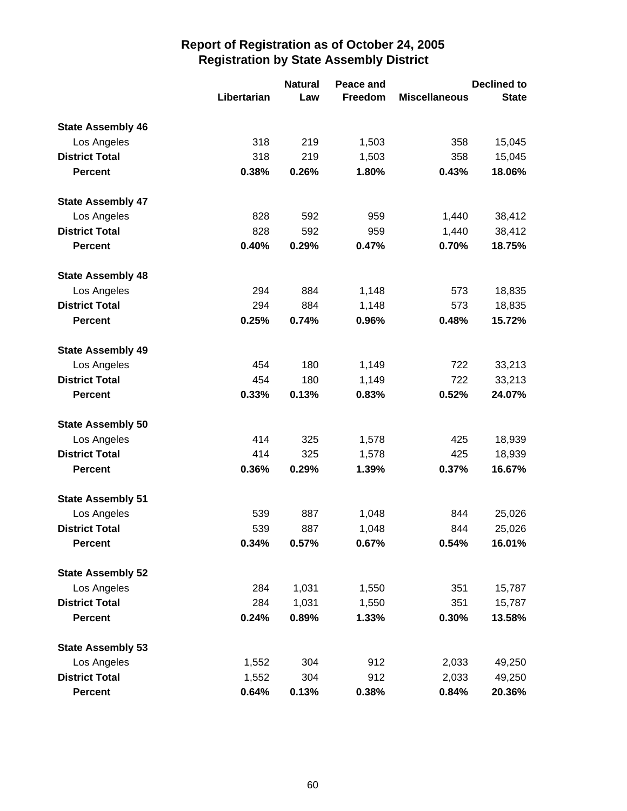|                          |             | <b>Natural</b> | Peace and |                      | <b>Declined to</b> |
|--------------------------|-------------|----------------|-----------|----------------------|--------------------|
|                          | Libertarian | Law            | Freedom   | <b>Miscellaneous</b> | <b>State</b>       |
| <b>State Assembly 46</b> |             |                |           |                      |                    |
| Los Angeles              | 318         | 219            | 1,503     | 358                  | 15,045             |
| <b>District Total</b>    | 318         | 219            | 1,503     | 358                  | 15,045             |
| <b>Percent</b>           | 0.38%       | 0.26%          | 1.80%     | 0.43%                | 18.06%             |
| <b>State Assembly 47</b> |             |                |           |                      |                    |
| Los Angeles              | 828         | 592            | 959       | 1,440                | 38,412             |
| <b>District Total</b>    | 828         | 592            | 959       | 1,440                | 38,412             |
| <b>Percent</b>           | 0.40%       | 0.29%          | 0.47%     | 0.70%                | 18.75%             |
| <b>State Assembly 48</b> |             |                |           |                      |                    |
| Los Angeles              | 294         | 884            | 1,148     | 573                  | 18,835             |
| <b>District Total</b>    | 294         | 884            | 1,148     | 573                  | 18,835             |
| <b>Percent</b>           | 0.25%       | 0.74%          | 0.96%     | 0.48%                | 15.72%             |
| <b>State Assembly 49</b> |             |                |           |                      |                    |
| Los Angeles              | 454         | 180            | 1,149     | 722                  | 33,213             |
| <b>District Total</b>    | 454         | 180            | 1,149     | 722                  | 33,213             |
| <b>Percent</b>           | 0.33%       | 0.13%          | 0.83%     | 0.52%                | 24.07%             |
| <b>State Assembly 50</b> |             |                |           |                      |                    |
| Los Angeles              | 414         | 325            | 1,578     | 425                  | 18,939             |
| <b>District Total</b>    | 414         | 325            | 1,578     | 425                  | 18,939             |
| <b>Percent</b>           | 0.36%       | 0.29%          | 1.39%     | 0.37%                | 16.67%             |
| <b>State Assembly 51</b> |             |                |           |                      |                    |
| Los Angeles              | 539         | 887            | 1,048     | 844                  | 25,026             |
| <b>District Total</b>    | 539         | 887            | 1,048     | 844                  | 25,026             |
| <b>Percent</b>           | 0.34%       | 0.57%          | 0.67%     | 0.54%                | 16.01%             |
| <b>State Assembly 52</b> |             |                |           |                      |                    |
| Los Angeles              | 284         | 1,031          | 1,550     | 351                  | 15,787             |
| <b>District Total</b>    | 284         | 1,031          | 1,550     | 351                  | 15,787             |
| <b>Percent</b>           | 0.24%       | 0.89%          | 1.33%     | 0.30%                | 13.58%             |
| <b>State Assembly 53</b> |             |                |           |                      |                    |
| Los Angeles              | 1,552       | 304            | 912       | 2,033                | 49,250             |
| <b>District Total</b>    | 1,552       | 304            | 912       | 2,033                | 49,250             |
| <b>Percent</b>           | 0.64%       | 0.13%          | 0.38%     | 0.84%                | 20.36%             |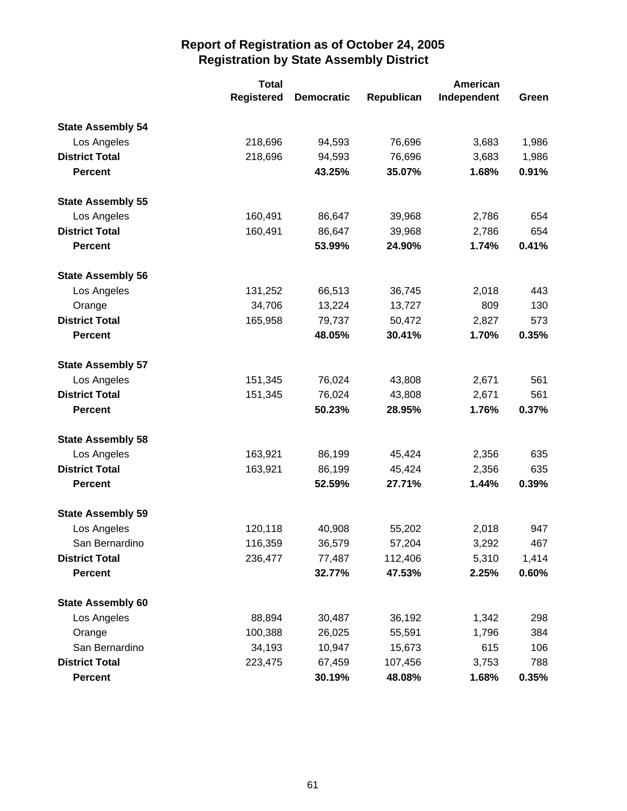|                          | <b>Total</b>      |                   | American   |             |       |
|--------------------------|-------------------|-------------------|------------|-------------|-------|
|                          | <b>Registered</b> | <b>Democratic</b> | Republican | Independent | Green |
| <b>State Assembly 54</b> |                   |                   |            |             |       |
| Los Angeles              | 218,696           | 94,593            | 76,696     | 3,683       | 1,986 |
| <b>District Total</b>    | 218,696           | 94,593            | 76,696     | 3,683       | 1,986 |
| <b>Percent</b>           |                   | 43.25%            | 35.07%     | 1.68%       | 0.91% |
| <b>State Assembly 55</b> |                   |                   |            |             |       |
| Los Angeles              | 160,491           | 86,647            | 39,968     | 2,786       | 654   |
| <b>District Total</b>    | 160,491           | 86,647            | 39,968     | 2,786       | 654   |
| <b>Percent</b>           |                   | 53.99%            | 24.90%     | 1.74%       | 0.41% |
| <b>State Assembly 56</b> |                   |                   |            |             |       |
| Los Angeles              | 131,252           | 66,513            | 36,745     | 2,018       | 443   |
| Orange                   | 34,706            | 13,224            | 13,727     | 809         | 130   |
| <b>District Total</b>    | 165,958           | 79,737            | 50,472     | 2,827       | 573   |
| <b>Percent</b>           |                   | 48.05%            | 30.41%     | 1.70%       | 0.35% |
| <b>State Assembly 57</b> |                   |                   |            |             |       |
| Los Angeles              | 151,345           | 76,024            | 43,808     | 2,671       | 561   |
| <b>District Total</b>    | 151,345           | 76,024            | 43,808     | 2,671       | 561   |
| <b>Percent</b>           |                   | 50.23%            | 28.95%     | 1.76%       | 0.37% |
| <b>State Assembly 58</b> |                   |                   |            |             |       |
| Los Angeles              | 163,921           | 86,199            | 45,424     | 2,356       | 635   |
| <b>District Total</b>    | 163,921           | 86,199            | 45,424     | 2,356       | 635   |
| <b>Percent</b>           |                   | 52.59%            | 27.71%     | 1.44%       | 0.39% |
| <b>State Assembly 59</b> |                   |                   |            |             |       |
| Los Angeles              | 120,118           | 40,908            | 55,202     | 2,018       | 947   |
| San Bernardino           | 116,359           | 36,579            | 57,204     | 3,292       | 467   |
| <b>District Total</b>    | 236,477           | 77,487            | 112,406    | 5,310       | 1,414 |
| <b>Percent</b>           |                   | 32.77%            | 47.53%     | 2.25%       | 0.60% |
| <b>State Assembly 60</b> |                   |                   |            |             |       |
| Los Angeles              | 88,894            | 30,487            | 36,192     | 1,342       | 298   |
| Orange                   | 100,388           | 26,025            | 55,591     | 1,796       | 384   |
| San Bernardino           | 34,193            | 10,947            | 15,673     | 615         | 106   |
| <b>District Total</b>    | 223,475           | 67,459            | 107,456    | 3,753       | 788   |
| <b>Percent</b>           |                   | 30.19%            | 48.08%     | 1.68%       | 0.35% |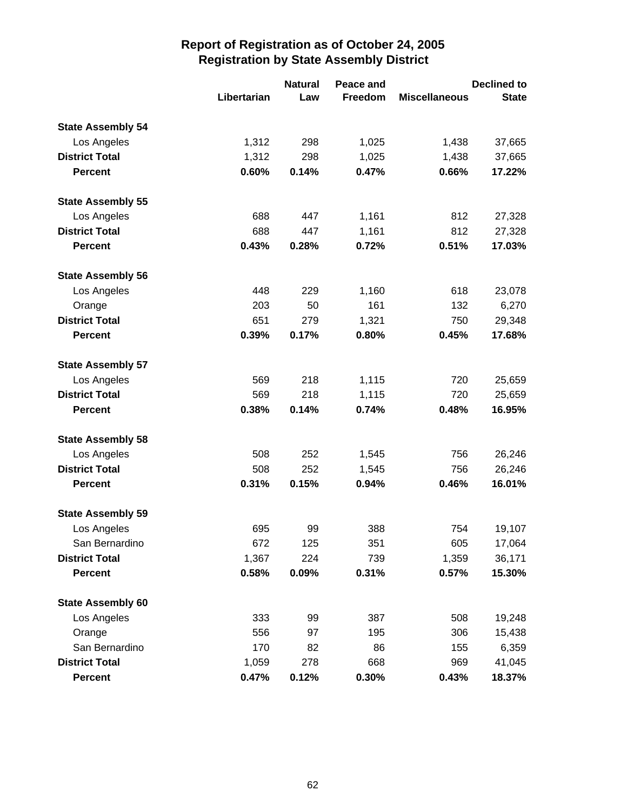|                          |             | <b>Natural</b> | Peace and |                      | <b>Declined to</b> |
|--------------------------|-------------|----------------|-----------|----------------------|--------------------|
|                          | Libertarian | Law            | Freedom   | <b>Miscellaneous</b> | <b>State</b>       |
| <b>State Assembly 54</b> |             |                |           |                      |                    |
| Los Angeles              | 1,312       | 298            | 1,025     | 1,438                | 37,665             |
| <b>District Total</b>    | 1,312       | 298            | 1,025     | 1,438                | 37,665             |
| <b>Percent</b>           | 0.60%       | 0.14%          | 0.47%     | 0.66%                | 17.22%             |
| <b>State Assembly 55</b> |             |                |           |                      |                    |
| Los Angeles              | 688         | 447            | 1,161     | 812                  | 27,328             |
| <b>District Total</b>    | 688         | 447            | 1,161     | 812                  | 27,328             |
| <b>Percent</b>           | 0.43%       | 0.28%          | 0.72%     | 0.51%                | 17.03%             |
| <b>State Assembly 56</b> |             |                |           |                      |                    |
| Los Angeles              | 448         | 229            | 1,160     | 618                  | 23,078             |
| Orange                   | 203         | 50             | 161       | 132                  | 6,270              |
| <b>District Total</b>    | 651         | 279            | 1,321     | 750                  | 29,348             |
| <b>Percent</b>           | 0.39%       | 0.17%          | 0.80%     | 0.45%                | 17.68%             |
| <b>State Assembly 57</b> |             |                |           |                      |                    |
| Los Angeles              | 569         | 218            | 1,115     | 720                  | 25,659             |
| <b>District Total</b>    | 569         | 218            | 1,115     | 720                  | 25,659             |
| <b>Percent</b>           | 0.38%       | 0.14%          | 0.74%     | 0.48%                | 16.95%             |
| <b>State Assembly 58</b> |             |                |           |                      |                    |
| Los Angeles              | 508         | 252            | 1,545     | 756                  | 26,246             |
| <b>District Total</b>    | 508         | 252            | 1,545     | 756                  | 26,246             |
| <b>Percent</b>           | 0.31%       | 0.15%          | 0.94%     | 0.46%                | 16.01%             |
| <b>State Assembly 59</b> |             |                |           |                      |                    |
| Los Angeles              | 695         | 99             | 388       | 754                  | 19,107             |
| San Bernardino           | 672         | 125            | 351       | 605                  | 17,064             |
| <b>District Total</b>    | 1,367       | 224            | 739       | 1,359                | 36,171             |
| Percent                  | 0.58%       | 0.09%          | 0.31%     | 0.57%                | 15.30%             |
| <b>State Assembly 60</b> |             |                |           |                      |                    |
| Los Angeles              | 333         | 99             | 387       | 508                  | 19,248             |
| Orange                   | 556         | 97             | 195       | 306                  | 15,438             |
| San Bernardino           | 170         | 82             | 86        | 155                  | 6,359              |
| <b>District Total</b>    | 1,059       | 278            | 668       | 969                  | 41,045             |
| <b>Percent</b>           | 0.47%       | 0.12%          | 0.30%     | 0.43%                | 18.37%             |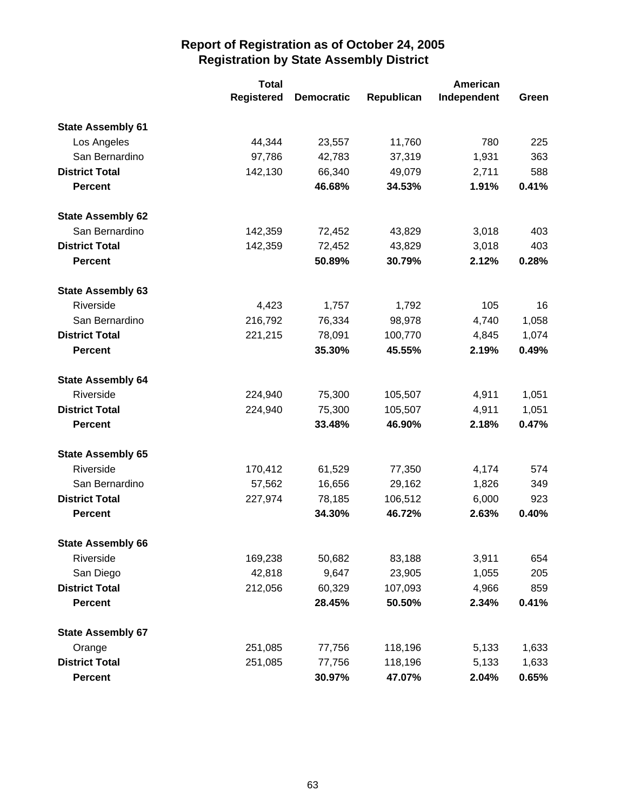|                          | <b>Total</b>      |                   | American   |             |       |
|--------------------------|-------------------|-------------------|------------|-------------|-------|
|                          | <b>Registered</b> | <b>Democratic</b> | Republican | Independent | Green |
| <b>State Assembly 61</b> |                   |                   |            |             |       |
| Los Angeles              | 44,344            | 23,557            | 11,760     | 780         | 225   |
| San Bernardino           | 97,786            | 42,783            | 37,319     | 1,931       | 363   |
| <b>District Total</b>    | 142,130           | 66,340            | 49,079     | 2,711       | 588   |
| <b>Percent</b>           |                   | 46.68%            | 34.53%     | 1.91%       | 0.41% |
| <b>State Assembly 62</b> |                   |                   |            |             |       |
| San Bernardino           | 142,359           | 72,452            | 43,829     | 3,018       | 403   |
| <b>District Total</b>    | 142,359           | 72,452            | 43,829     | 3,018       | 403   |
| <b>Percent</b>           |                   | 50.89%            | 30.79%     | 2.12%       | 0.28% |
| <b>State Assembly 63</b> |                   |                   |            |             |       |
| Riverside                | 4,423             | 1,757             | 1,792      | 105         | 16    |
| San Bernardino           | 216,792           | 76,334            | 98,978     | 4,740       | 1,058 |
| <b>District Total</b>    | 221,215           | 78,091            | 100,770    | 4,845       | 1,074 |
| <b>Percent</b>           |                   | 35.30%            | 45.55%     | 2.19%       | 0.49% |
| <b>State Assembly 64</b> |                   |                   |            |             |       |
| Riverside                | 224,940           | 75,300            | 105,507    | 4,911       | 1,051 |
| <b>District Total</b>    | 224,940           | 75,300            | 105,507    | 4,911       | 1,051 |
| <b>Percent</b>           |                   | 33.48%            | 46.90%     | 2.18%       | 0.47% |
| <b>State Assembly 65</b> |                   |                   |            |             |       |
| Riverside                | 170,412           | 61,529            | 77,350     | 4,174       | 574   |
| San Bernardino           | 57,562            | 16,656            | 29,162     | 1,826       | 349   |
| <b>District Total</b>    | 227,974           | 78,185            | 106,512    | 6,000       | 923   |
| <b>Percent</b>           |                   | 34.30%            | 46.72%     | 2.63%       | 0.40% |
| <b>State Assembly 66</b> |                   |                   |            |             |       |
| Riverside                | 169,238           | 50,682            | 83,188     | 3,911       | 654   |
| San Diego                | 42,818            | 9,647             | 23,905     | 1,055       | 205   |
| <b>District Total</b>    | 212,056           | 60,329            | 107,093    | 4,966       | 859   |
| <b>Percent</b>           |                   | 28.45%            | 50.50%     | 2.34%       | 0.41% |
| <b>State Assembly 67</b> |                   |                   |            |             |       |
| Orange                   | 251,085           | 77,756            | 118,196    | 5,133       | 1,633 |
| <b>District Total</b>    | 251,085           | 77,756            | 118,196    | 5,133       | 1,633 |
| <b>Percent</b>           |                   | 30.97%            | 47.07%     | 2.04%       | 0.65% |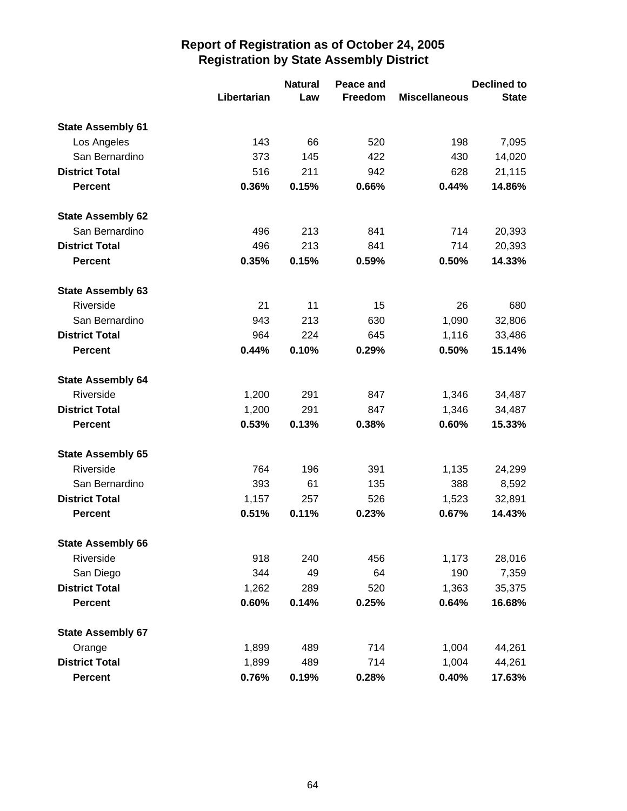|                          |             | <b>Natural</b> | Peace and |                      | <b>Declined to</b> |
|--------------------------|-------------|----------------|-----------|----------------------|--------------------|
|                          | Libertarian | Law            | Freedom   | <b>Miscellaneous</b> | <b>State</b>       |
| <b>State Assembly 61</b> |             |                |           |                      |                    |
| Los Angeles              | 143         | 66             | 520       | 198                  | 7,095              |
| San Bernardino           | 373         | 145            | 422       | 430                  | 14,020             |
| <b>District Total</b>    | 516         | 211            | 942       | 628                  | 21,115             |
| <b>Percent</b>           | 0.36%       | 0.15%          | 0.66%     | 0.44%                | 14.86%             |
| <b>State Assembly 62</b> |             |                |           |                      |                    |
| San Bernardino           | 496         | 213            | 841       | 714                  | 20,393             |
| <b>District Total</b>    | 496         | 213            | 841       | 714                  | 20,393             |
| <b>Percent</b>           | 0.35%       | 0.15%          | 0.59%     | 0.50%                | 14.33%             |
| <b>State Assembly 63</b> |             |                |           |                      |                    |
| Riverside                | 21          | 11             | 15        | 26                   | 680                |
| San Bernardino           | 943         | 213            | 630       | 1,090                | 32,806             |
| <b>District Total</b>    | 964         | 224            | 645       | 1,116                | 33,486             |
| <b>Percent</b>           | 0.44%       | 0.10%          | 0.29%     | 0.50%                | 15.14%             |
| <b>State Assembly 64</b> |             |                |           |                      |                    |
| Riverside                | 1,200       | 291            | 847       | 1,346                | 34,487             |
| <b>District Total</b>    | 1,200       | 291            | 847       | 1,346                | 34,487             |
| <b>Percent</b>           | 0.53%       | 0.13%          | 0.38%     | 0.60%                | 15.33%             |
| <b>State Assembly 65</b> |             |                |           |                      |                    |
| Riverside                | 764         | 196            | 391       | 1,135                | 24,299             |
| San Bernardino           | 393         | 61             | 135       | 388                  | 8,592              |
| <b>District Total</b>    | 1,157       | 257            | 526       | 1,523                | 32,891             |
| <b>Percent</b>           | 0.51%       | 0.11%          | 0.23%     | 0.67%                | 14.43%             |
| <b>State Assembly 66</b> |             |                |           |                      |                    |
| Riverside                | 918         | 240            | 456       | 1,173                | 28,016             |
| San Diego                | 344         | 49             | 64        | 190                  | 7,359              |
| <b>District Total</b>    | 1,262       | 289            | 520       | 1,363                | 35,375             |
| <b>Percent</b>           | 0.60%       | 0.14%          | 0.25%     | 0.64%                | 16.68%             |
| <b>State Assembly 67</b> |             |                |           |                      |                    |
| Orange                   | 1,899       | 489            | 714       | 1,004                | 44,261             |
| <b>District Total</b>    | 1,899       | 489            | 714       | 1,004                | 44,261             |
| <b>Percent</b>           | 0.76%       | 0.19%          | 0.28%     | 0.40%                | 17.63%             |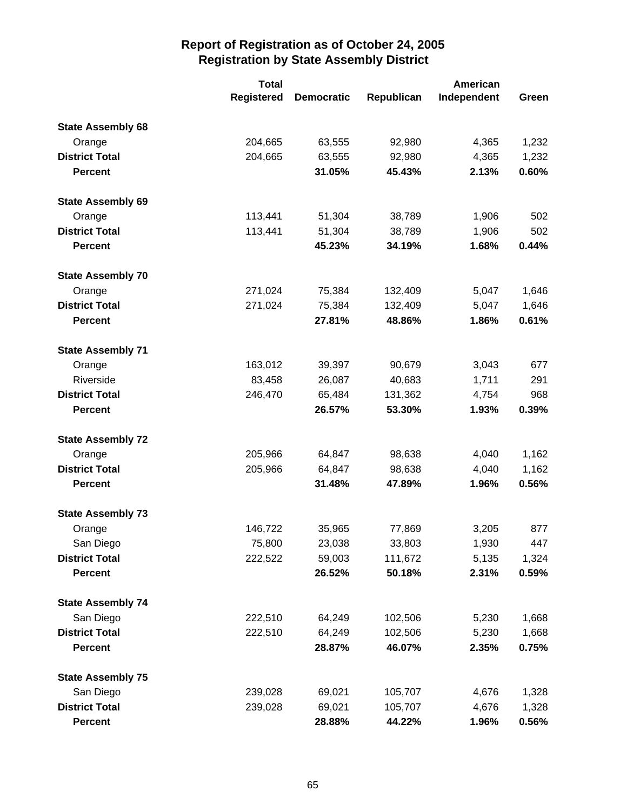|                          | <b>Total</b>      |                   | American   |             |       |
|--------------------------|-------------------|-------------------|------------|-------------|-------|
|                          | <b>Registered</b> | <b>Democratic</b> | Republican | Independent | Green |
| <b>State Assembly 68</b> |                   |                   |            |             |       |
| Orange                   | 204,665           | 63,555            | 92,980     | 4,365       | 1,232 |
| <b>District Total</b>    | 204,665           | 63,555            | 92,980     | 4,365       | 1,232 |
| <b>Percent</b>           |                   | 31.05%            | 45.43%     | 2.13%       | 0.60% |
| <b>State Assembly 69</b> |                   |                   |            |             |       |
| Orange                   | 113,441           | 51,304            | 38,789     | 1,906       | 502   |
| <b>District Total</b>    | 113,441           | 51,304            | 38,789     | 1,906       | 502   |
| <b>Percent</b>           |                   | 45.23%            | 34.19%     | 1.68%       | 0.44% |
| <b>State Assembly 70</b> |                   |                   |            |             |       |
| Orange                   | 271,024           | 75,384            | 132,409    | 5,047       | 1,646 |
| <b>District Total</b>    | 271,024           | 75,384            | 132,409    | 5,047       | 1,646 |
| <b>Percent</b>           |                   | 27.81%            | 48.86%     | 1.86%       | 0.61% |
| <b>State Assembly 71</b> |                   |                   |            |             |       |
| Orange                   | 163,012           | 39,397            | 90,679     | 3,043       | 677   |
| Riverside                | 83,458            | 26,087            | 40,683     | 1,711       | 291   |
| <b>District Total</b>    | 246,470           | 65,484            | 131,362    | 4,754       | 968   |
| <b>Percent</b>           |                   | 26.57%            | 53.30%     | 1.93%       | 0.39% |
| <b>State Assembly 72</b> |                   |                   |            |             |       |
| Orange                   | 205,966           | 64,847            | 98,638     | 4,040       | 1,162 |
| <b>District Total</b>    | 205,966           | 64,847            | 98,638     | 4,040       | 1,162 |
| <b>Percent</b>           |                   | 31.48%            | 47.89%     | 1.96%       | 0.56% |
| <b>State Assembly 73</b> |                   |                   |            |             |       |
| Orange                   | 146,722           | 35,965            | 77,869     | 3,205       | 877   |
| San Diego                | 75,800            | 23,038            | 33,803     | 1,930       | 447   |
| <b>District Total</b>    | 222,522           | 59,003            | 111,672    | 5,135       | 1,324 |
| <b>Percent</b>           |                   | 26.52%            | 50.18%     | 2.31%       | 0.59% |
| <b>State Assembly 74</b> |                   |                   |            |             |       |
| San Diego                | 222,510           | 64,249            | 102,506    | 5,230       | 1,668 |
| <b>District Total</b>    | 222,510           | 64,249            | 102,506    | 5,230       | 1,668 |
| <b>Percent</b>           |                   | 28.87%            | 46.07%     | 2.35%       | 0.75% |
| <b>State Assembly 75</b> |                   |                   |            |             |       |
| San Diego                | 239,028           | 69,021            | 105,707    | 4,676       | 1,328 |
| <b>District Total</b>    | 239,028           | 69,021            | 105,707    | 4,676       | 1,328 |
| <b>Percent</b>           |                   | 28.88%            | 44.22%     | 1.96%       | 0.56% |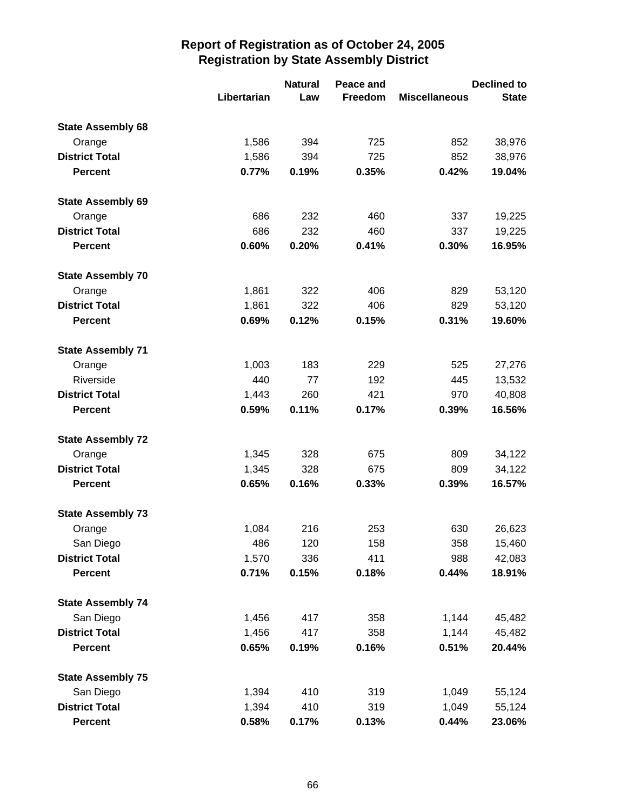|                          |             | <b>Natural</b> | Peace and |                      | <b>Declined to</b> |
|--------------------------|-------------|----------------|-----------|----------------------|--------------------|
|                          | Libertarian | Law            | Freedom   | <b>Miscellaneous</b> | <b>State</b>       |
| <b>State Assembly 68</b> |             |                |           |                      |                    |
| Orange                   | 1,586       | 394            | 725       | 852                  | 38,976             |
| <b>District Total</b>    | 1,586       | 394            | 725       | 852                  | 38,976             |
| <b>Percent</b>           | 0.77%       | 0.19%          | 0.35%     | 0.42%                | 19.04%             |
| <b>State Assembly 69</b> |             |                |           |                      |                    |
| Orange                   | 686         | 232            | 460       | 337                  | 19,225             |
| <b>District Total</b>    | 686         | 232            | 460       | 337                  | 19,225             |
| <b>Percent</b>           | 0.60%       | 0.20%          | 0.41%     | 0.30%                | 16.95%             |
| <b>State Assembly 70</b> |             |                |           |                      |                    |
| Orange                   | 1,861       | 322            | 406       | 829                  | 53,120             |
| <b>District Total</b>    | 1,861       | 322            | 406       | 829                  | 53,120             |
| <b>Percent</b>           | 0.69%       | 0.12%          | 0.15%     | 0.31%                | 19.60%             |
| <b>State Assembly 71</b> |             |                |           |                      |                    |
| Orange                   | 1,003       | 183            | 229       | 525                  | 27,276             |
| Riverside                | 440         | 77             | 192       | 445                  | 13,532             |
| <b>District Total</b>    | 1,443       | 260            | 421       | 970                  | 40,808             |
| <b>Percent</b>           | 0.59%       | 0.11%          | 0.17%     | 0.39%                | 16.56%             |
| <b>State Assembly 72</b> |             |                |           |                      |                    |
| Orange                   | 1,345       | 328            | 675       | 809                  | 34,122             |
| <b>District Total</b>    | 1,345       | 328            | 675       | 809                  | 34,122             |
| <b>Percent</b>           | 0.65%       | 0.16%          | 0.33%     | 0.39%                | 16.57%             |
| <b>State Assembly 73</b> |             |                |           |                      |                    |
| Orange                   | 1,084       | 216            | 253       | 630                  | 26,623             |
| San Diego                | 486         | 120            | 158       | 358                  | 15,460             |
| <b>District Total</b>    | 1,570       | 336            | 411       | 988                  | 42,083             |
| <b>Percent</b>           | 0.71%       | 0.15%          | 0.18%     | 0.44%                | 18.91%             |
| <b>State Assembly 74</b> |             |                |           |                      |                    |
| San Diego                | 1,456       | 417            | 358       | 1,144                | 45,482             |
| <b>District Total</b>    | 1,456       | 417            | 358       | 1,144                | 45,482             |
| <b>Percent</b>           | 0.65%       | 0.19%          | 0.16%     | 0.51%                | 20.44%             |
| <b>State Assembly 75</b> |             |                |           |                      |                    |
| San Diego                | 1,394       | 410            | 319       | 1,049                | 55,124             |
| <b>District Total</b>    | 1,394       | 410            | 319       | 1,049                | 55,124             |
| <b>Percent</b>           | 0.58%       | 0.17%          | 0.13%     | 0.44%                | 23.06%             |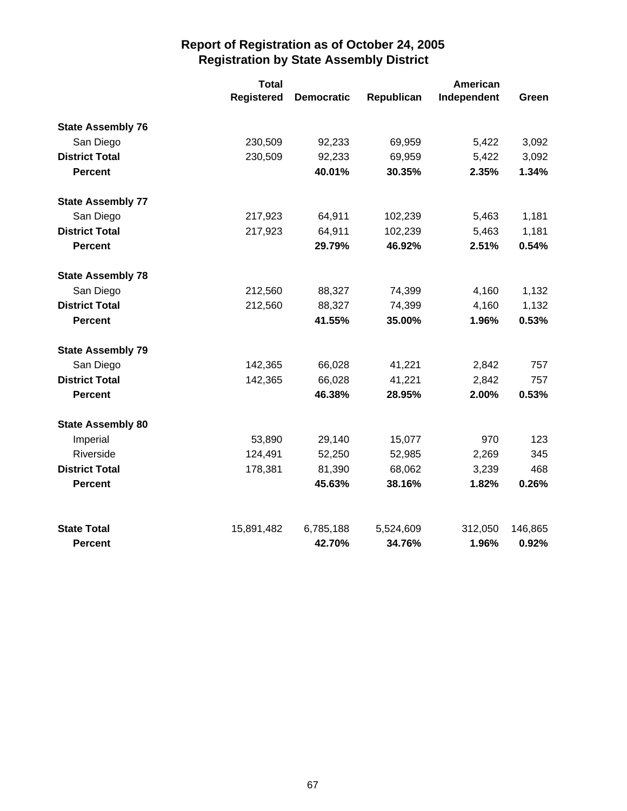|                          | <b>Total</b>      |                   |            | American    |         |  |
|--------------------------|-------------------|-------------------|------------|-------------|---------|--|
|                          | <b>Registered</b> | <b>Democratic</b> | Republican | Independent | Green   |  |
| <b>State Assembly 76</b> |                   |                   |            |             |         |  |
| San Diego                | 230,509           | 92,233            | 69,959     | 5,422       | 3,092   |  |
| <b>District Total</b>    | 230,509           | 92,233            | 69,959     | 5,422       | 3,092   |  |
| <b>Percent</b>           |                   | 40.01%            | 30.35%     | 2.35%       | 1.34%   |  |
| <b>State Assembly 77</b> |                   |                   |            |             |         |  |
| San Diego                | 217,923           | 64,911            | 102,239    | 5,463       | 1,181   |  |
| <b>District Total</b>    | 217,923           | 64,911            | 102,239    | 5,463       | 1,181   |  |
| <b>Percent</b>           |                   | 29.79%            | 46.92%     | 2.51%       | 0.54%   |  |
| <b>State Assembly 78</b> |                   |                   |            |             |         |  |
| San Diego                | 212,560           | 88,327            | 74,399     | 4,160       | 1,132   |  |
| <b>District Total</b>    | 212,560           | 88,327            | 74,399     | 4,160       | 1,132   |  |
| <b>Percent</b>           |                   | 41.55%            | 35.00%     | 1.96%       | 0.53%   |  |
| <b>State Assembly 79</b> |                   |                   |            |             |         |  |
| San Diego                | 142,365           | 66,028            | 41,221     | 2,842       | 757     |  |
| <b>District Total</b>    | 142,365           | 66,028            | 41,221     | 2,842       | 757     |  |
| <b>Percent</b>           |                   | 46.38%            | 28.95%     | 2.00%       | 0.53%   |  |
| <b>State Assembly 80</b> |                   |                   |            |             |         |  |
| Imperial                 | 53,890            | 29,140            | 15,077     | 970         | 123     |  |
| Riverside                | 124,491           | 52,250            | 52,985     | 2,269       | 345     |  |
| <b>District Total</b>    | 178,381           | 81,390            | 68,062     | 3,239       | 468     |  |
| <b>Percent</b>           |                   | 45.63%            | 38.16%     | 1.82%       | 0.26%   |  |
| <b>State Total</b>       | 15,891,482        | 6,785,188         | 5,524,609  | 312,050     | 146,865 |  |
| <b>Percent</b>           |                   | 42.70%            | 34.76%     | 1.96%       | 0.92%   |  |